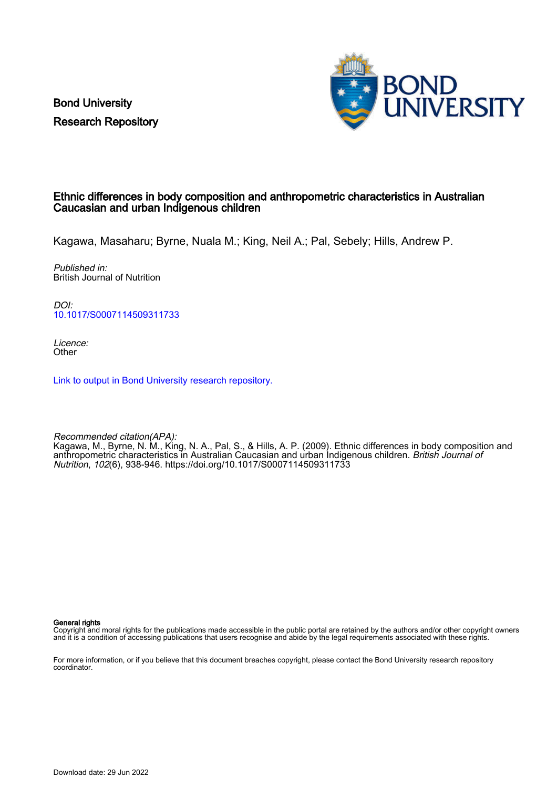Bond University Research Repository



# Ethnic differences in body composition and anthropometric characteristics in Australian Caucasian and urban Indigenous children

Kagawa, Masaharu; Byrne, Nuala M.; King, Neil A.; Pal, Sebely; Hills, Andrew P.

Published in: British Journal of Nutrition

DOI: [10.1017/S0007114509311733](https://doi.org/10.1017/S0007114509311733)

Licence: **Other** 

[Link to output in Bond University research repository.](https://research.bond.edu.au/en/publications/85550d53-e937-447f-9040-6eef402ae3ac)

Recommended citation(APA): Kagawa, M., Byrne, N. M., King, N. A., Pal, S., & Hills, A. P. (2009). Ethnic differences in body composition and anthropometric characteristics in Australian Caucasian and urban Indigenous children. *British Journal of* Nutrition, 102(6), 938-946.<https://doi.org/10.1017/S0007114509311733>

General rights

Copyright and moral rights for the publications made accessible in the public portal are retained by the authors and/or other copyright owners and it is a condition of accessing publications that users recognise and abide by the legal requirements associated with these rights.

For more information, or if you believe that this document breaches copyright, please contact the Bond University research repository coordinator.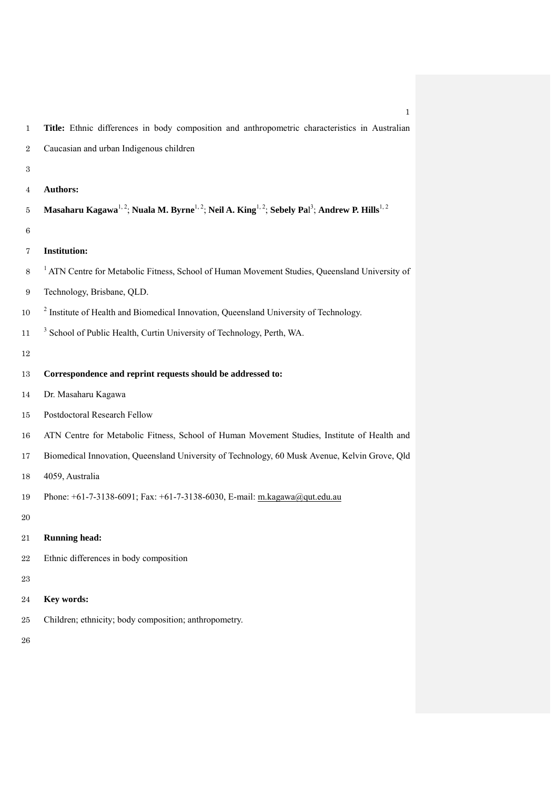| $\mathbf{1}$     | Title: Ethnic differences in body composition and anthropometric characteristics in Australian                                                              |
|------------------|-------------------------------------------------------------------------------------------------------------------------------------------------------------|
| $\,2$            | Caucasian and urban Indigenous children                                                                                                                     |
| $\,3$            |                                                                                                                                                             |
| 4                | <b>Authors:</b>                                                                                                                                             |
| 5                | Masaharu Kagawa <sup>1, 2</sup> ; Nuala M. Byrne <sup>1, 2</sup> ; Neil A. King <sup>1, 2</sup> ; Sebely Pal <sup>3</sup> ; Andrew P. Hills <sup>1, 2</sup> |
| 6                |                                                                                                                                                             |
| 7                | <b>Institution:</b>                                                                                                                                         |
| 8                | <sup>1</sup> ATN Centre for Metabolic Fitness, School of Human Movement Studies, Queensland University of                                                   |
| $\boldsymbol{9}$ | Technology, Brisbane, QLD.                                                                                                                                  |
| 10               | <sup>2</sup> Institute of Health and Biomedical Innovation, Queensland University of Technology.                                                            |
| 11               | <sup>3</sup> School of Public Health, Curtin University of Technology, Perth, WA.                                                                           |
| 12               |                                                                                                                                                             |
| 13               | Correspondence and reprint requests should be addressed to:                                                                                                 |
| 14               | Dr. Masaharu Kagawa                                                                                                                                         |
| 15               | Postdoctoral Research Fellow                                                                                                                                |
| 16               | ATN Centre for Metabolic Fitness, School of Human Movement Studies, Institute of Health and                                                                 |
| 17               | Biomedical Innovation, Queensland University of Technology, 60 Musk Avenue, Kelvin Grove, Qld                                                               |
| 18               | 4059, Australia                                                                                                                                             |
| 19               | Phone: +61-7-3138-6091; Fax: +61-7-3138-6030, E-mail: m.kagawa@qut.edu.au                                                                                   |
| 20               |                                                                                                                                                             |
| 21               | <b>Running head:</b>                                                                                                                                        |
| 22               | Ethnic differences in body composition                                                                                                                      |
| 23               |                                                                                                                                                             |
| 24               | Key words:                                                                                                                                                  |
| 25               | Children; ethnicity; body composition; anthropometry.                                                                                                       |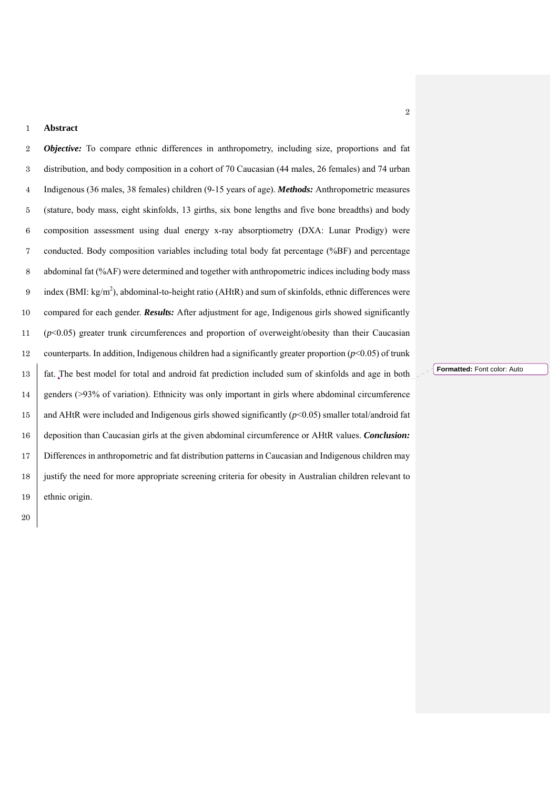#### **Abstract**

*Objective:* To compare ethnic differences in anthropometry, including size, proportions and fat distribution, and body composition in a cohort of 70 Caucasian (44 males, 26 females) and 74 urban Indigenous (36 males, 38 females) children (9-15 years of age). *Methods:* Anthropometric measures (stature, body mass, eight skinfolds, 13 girths, six bone lengths and five bone breadths) and body composition assessment using dual energy x-ray absorptiometry (DXA: Lunar Prodigy) were conducted. Body composition variables including total body fat percentage (%BF) and percentage abdominal fat (%AF) were determined and together with anthropometric indices including body mass 9 index  $(BMI: kg/m<sup>2</sup>)$ , abdominal-to-height ratio (AHtR) and sum of skinfolds, ethnic differences were compared for each gender. *Results:* After adjustment for age, Indigenous girls showed significantly (*p*<0.05) greater trunk circumferences and proportion of overweight/obesity than their Caucasian 12 counterparts. In addition, Indigenous children had a significantly greater proportion ( $p$ <0.05) of trunk fat. The best model for total and android fat prediction included sum of skinfolds and age in both 14 genders (>93% of variation). Ethnicity was only important in girls where abdominal circumference 15 and AHtR were included and Indigenous girls showed significantly  $(p<0.05)$  smaller total/android fat deposition than Caucasian girls at the given abdominal circumference or AHtR values. *Conclusion:* Differences in anthropometric and fat distribution patterns in Caucasian and Indigenous children may justify the need for more appropriate screening criteria for obesity in Australian children relevant to ethnic origin.

**Formatted:** Font color: Auto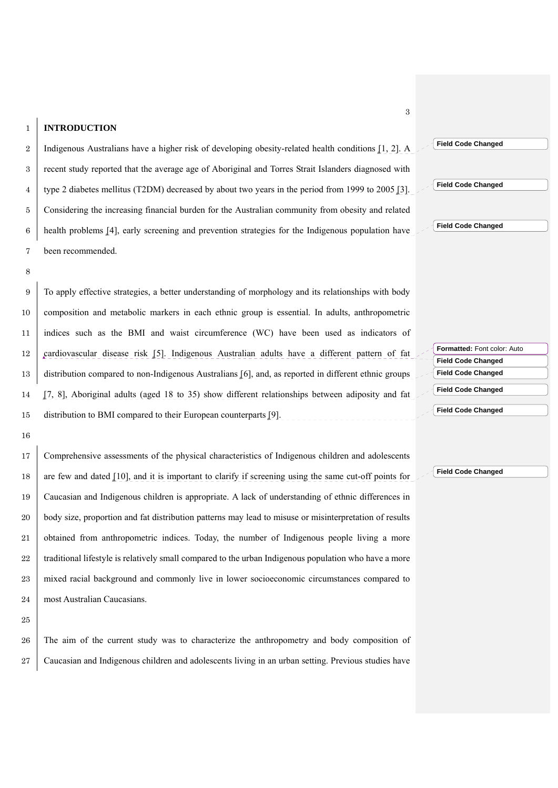## 1 **INTRODUCTION**

2 | Indigenous Australians have a higher risk of developing obesity-related health conditions [1, 2]. A recent study reported that the average age of Aboriginal and Torres Strait Islanders diagnosed with 4 type 2 diabetes mellitus (T2DM) decreased by about two years in the period from 1999 to 2005 [3]. Considering the increasing financial burden for the Australian community from obesity and related health problems [4], early screening and prevention strategies for the Indigenous population have been recommended.

8

16

To apply effective strategies, a better understanding of morphology and its relationships with body composition and metabolic markers in each ethnic group is essential. In adults, anthropometric indices such as the BMI and waist circumference (WC) have been used as indicators of cardiovascular disease risk [5]. Indigenous Australian adults have a different pattern of fat distribution compared to non-Indigenous Australians [6], and, as reported in different ethnic groups [7, 8], Aboriginal adults (aged 18 to 35) show different relationships between adiposity and fat distribution to BMI compared to their European counterparts [9].

17 Comprehensive assessments of the physical characteristics of Indigenous children and adolescents 18 are few and dated [10], and it is important to clarify if screening using the same cut-off points for 19 Caucasian and Indigenous children is appropriate. A lack of understanding of ethnic differences in 20 body size, proportion and fat distribution patterns may lead to misuse or misinterpretation of results 21 obtained from anthropometric indices. Today, the number of Indigenous people living a more 22 traditional lifestyle is relatively small compared to the urban Indigenous population who have a more 23 mixed racial background and commonly live in lower socioeconomic circumstances compared to 24 most Australian Caucasians.

25

26 The aim of the current study was to characterize the anthropometry and body composition of 27 Caucasian and Indigenous children and adolescents living in an urban setting. Previous studies have

**Formatted:** Font color: Auto **Field Code Changed Field Code Changed**

**Field Code Changed**

**Field Code Changed**

**Field Code Changed**

**Field Code Changed**

**Field Code Changed**

**Field Code Changed**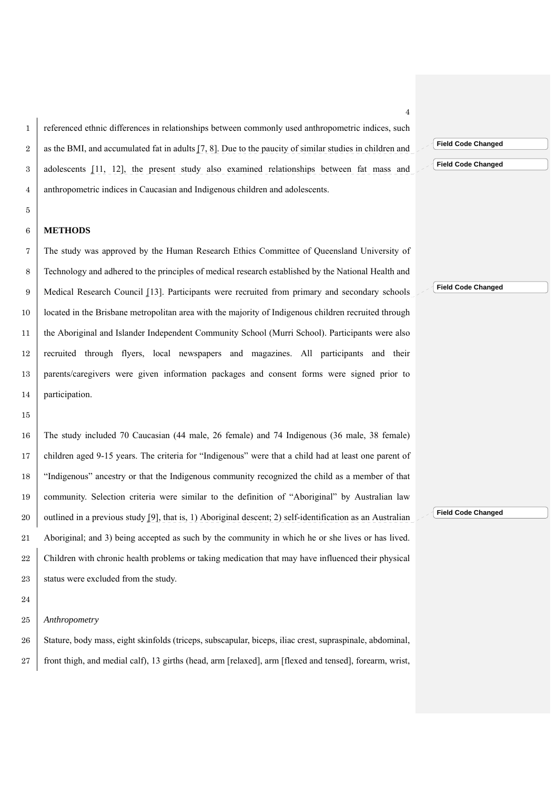referenced ethnic differences in relationships between commonly used anthropometric indices, such 2 as the BMI, and accumulated fat in adults [7, 8]. Due to the paucity of similar studies in children and adolescents [11, 12], the present study also examined relationships between fat mass and anthropometric indices in Caucasian and Indigenous children and adolescents.

# 

## **METHODS**

The study was approved by the Human Research Ethics Committee of Queensland University of Technology and adhered to the principles of medical research established by the National Health and 9 | Medical Research Council [13]. Participants were recruited from primary and secondary schools located in the Brisbane metropolitan area with the majority of Indigenous children recruited through the Aboriginal and Islander Independent Community School (Murri School). Participants were also recruited through flyers, local newspapers and magazines. All participants and their parents/caregivers were given information packages and consent forms were signed prior to 14 participation.

The study included 70 Caucasian (44 male, 26 female) and 74 Indigenous (36 male, 38 female) children aged 9-15 years. The criteria for "Indigenous" were that a child had at least one parent of "Indigenous" ancestry or that the Indigenous community recognized the child as a member of that community. Selection criteria were similar to the definition of "Aboriginal" by Australian law 20 outlined in a previous study [9], that is, 1) Aboriginal descent; 2) self-identification as an Australian Aboriginal; and 3) being accepted as such by the community in which he or she lives or has lived. 22 Children with chronic health problems or taking medication that may have influenced their physical 23 status were excluded from the study.

## *Anthropometry*

26 Stature, body mass, eight skinfolds (triceps, subscapular, biceps, iliac crest, supraspinale, abdominal, 27 front thigh, and medial calf), 13 girths (head, arm [relaxed], arm [flexed and tensed], forearm, wrist, **Field Code Changed**

**Field Code Changed**

**Field Code Changed**

**Field Code Changed**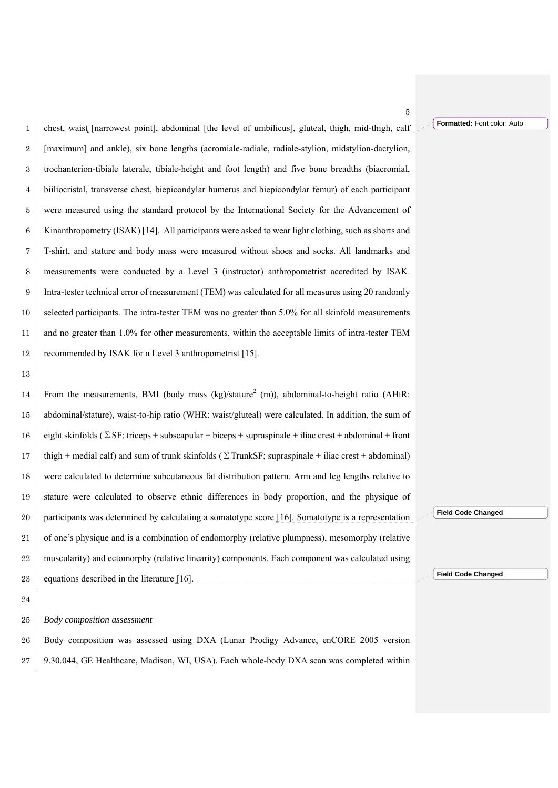**Formatted:** Font color: Auto

5

chest, waist [narrowest point], abdominal [the level of umbilicus], gluteal, thigh, mid-thigh, calf 2 [ [maximum] and ankle), six bone lengths (acromiale-radiale, radiale-stylion, midstylion-dactylion, trochanterion-tibiale laterale, tibiale-height and foot length) and five bone breadths (biacromial, biiliocristal, transverse chest, biepicondylar humerus and biepicondylar femur) of each participant were measured using the standard protocol by the International Society for the Advancement of Kinanthropometry (ISAK) [14]. All participants were asked to wear light clothing, such as shorts and T-shirt, and stature and body mass were measured without shoes and socks. All landmarks and measurements were conducted by a Level 3 (instructor) anthropometrist accredited by ISAK. Intra-tester technical error of measurement (TEM) was calculated for all measures using 20 randomly 10 selected participants. The intra-tester TEM was no greater than 5.0% for all skinfold measurements 11 and no greater than 1.0% for other measurements, within the acceptable limits of intra-tester TEM 12 recommended by ISAK for a Level 3 anthropometrist [15].

13

14 From the measurements, BMI (body mass (kg)/stature<sup>2</sup> (m)), abdominal-to-height ratio (AHtR: 15 abdominal/stature), waist-to-hip ratio (WHR: waist/gluteal) were calculated. In addition, the sum of 16 eight skinfolds ( $\Sigma$  SF; triceps + subscapular + biceps + supraspinale + iliac crest + abdominal + front 17 thigh + medial calf) and sum of trunk skinfolds ( $\Sigma$  TrunkSF; supraspinale + iliac crest + abdominal) 18 were calculated to determine subcutaneous fat distribution pattern. Arm and leg lengths relative to 19 stature were calculated to observe ethnic differences in body proportion, and the physique of 20 participants was determined by calculating a somatotype score [16]. Somatotype is a representation 21 of one's physique and is a combination of endomorphy (relative plumpness), mesomorphy (relative 22 muscularity) and ectomorphy (relative linearity) components. Each component was calculated using 23 equations described in the literature [16].

24

# 25 *Body composition assessment*

26 Body composition was assessed using DXA (Lunar Prodigy Advance, enCORE 2005 version 27 9.30.044, GE Healthcare, Madison, WI, USA). Each whole-body DXA scan was completed within **Field Code Changed**

**Field Code Changed**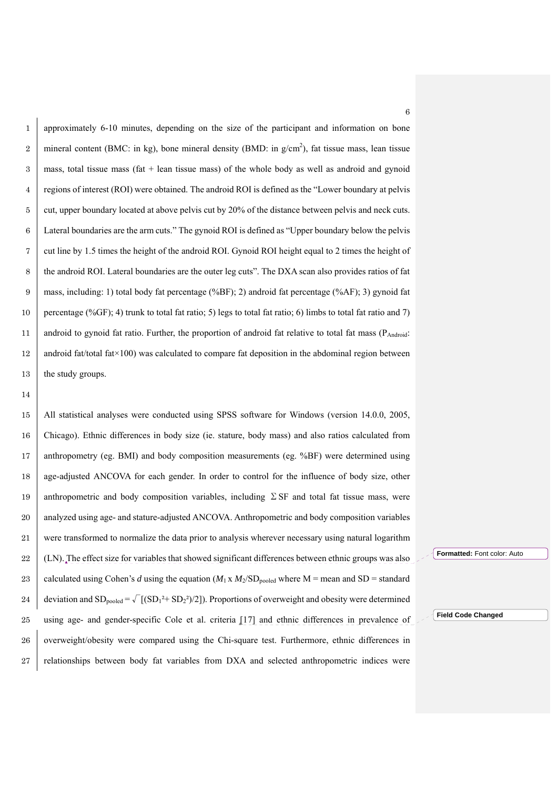1 approximately 6-10 minutes, depending on the size of the participant and information on bone 2 mineral content (BMC: in kg), bone mineral density (BMD: in  $g/cm<sup>2</sup>$ ), fat tissue mass, lean tissue  $3 \mid$  mass, total tissue mass (fat + lean tissue mass) of the whole body as well as android and gynoid 4 regions of interest (ROI) were obtained. The android ROI is defined as the "Lower boundary at pelvis 5 cut, upper boundary located at above pelvis cut by 20% of the distance between pelvis and neck cuts. 6 Lateral boundaries are the arm cuts." The gynoid ROI is defined as "Upper boundary below the pelvis 7 cut line by 1.5 times the height of the android ROI. Gynoid ROI height equal to 2 times the height of 8 the android ROI. Lateral boundaries are the outer leg cuts". The DXA scan also provides ratios of fat 9 mass, including: 1) total body fat percentage (%BF); 2) android fat percentage (%AF); 3) gynoid fat 10 percentage (%GF); 4) trunk to total fat ratio; 5) legs to total fat ratio; 6) limbs to total fat ratio and 7) 11 android to gynoid fat ratio. Further, the proportion of android fat relative to total fat mass (P<sub>Android</sub>: 12 android fat/total fat $\times$ 100) was calculated to compare fat deposition in the abdominal region between 13 the study groups.

15 All statistical analyses were conducted using SPSS software for Windows (version 14.0.0, 2005, 16 Chicago). Ethnic differences in body size (ie. stature, body mass) and also ratios calculated from 17 anthropometry (eg. BMI) and body composition measurements (eg. %BF) were determined using 18 age-adjusted ANCOVA for each gender. In order to control for the influence of body size, other 19 anthropometric and body composition variables, including  $\Sigma$  SF and total fat tissue mass, were 20 analyzed using age- and stature-adjusted ANCOVA. Anthropometric and body composition variables 21 were transformed to normalize the data prior to analysis wherever necessary using natural logarithm 22 (LN). The effect size for variables that showed significant differences between ethnic groups was also 23 calculated using Cohen's *d* using the equation  $(M_1 \times M_2 / SD_{pooled}$  where M = mean and SD = standard 24 deviation and  $SD_{pooled} = \sqrt{(SD_1^2 + SD_2^2)/2}$ . Proportions of overweight and obesity were determined 25 using age- and gender-specific Cole et al. criteria [17] and ethnic differences in prevalence of 26 overweight/obesity were compared using the Chi-square test. Furthermore, ethnic differences in 27 relationships between body fat variables from DXA and selected anthropometric indices were

14

**Formatted:** Font color: Auto

**Field Code Changed**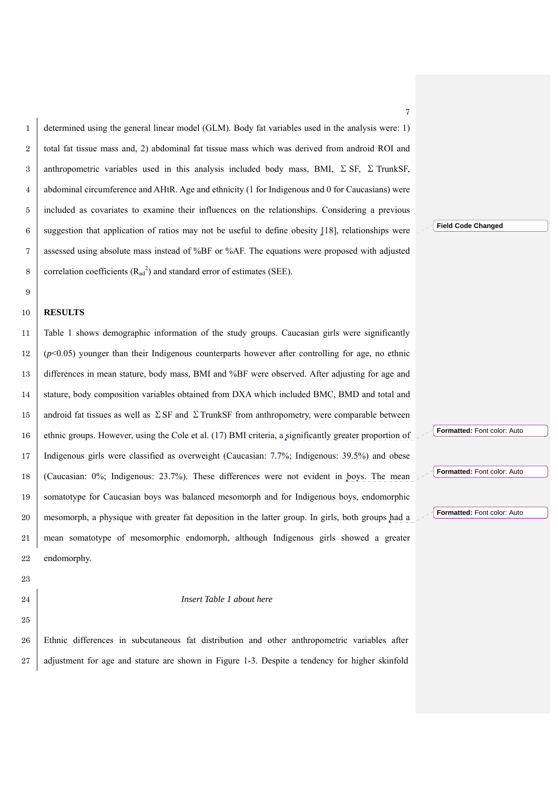determined using the general linear model (GLM). Body fat variables used in the analysis were: 1) 2 total fat tissue mass and, 2) abdominal fat tissue mass which was derived from android ROI and 3 anthropometric variables used in this analysis included body mass, BMI,  $\Sigma$  SF,  $\Sigma$  TrunkSF, abdominal circumference and AHtR. Age and ethnicity (1 for Indigenous and 0 for Caucasians) were included as covariates to examine their influences on the relationships. Considering a previous 6 suggestion that application of ratios may not be useful to define obesity [18], relationships were assessed using absolute mass instead of %BF or %AF. The equations were proposed with adjusted 8 correlation coefficients  $(R_{ad}^2)$  and standard error of estimates (SEE).

#### 

#### **RESULTS**

Table 1 shows demographic information of the study groups. Caucasian girls were significantly (*p*<0.05) younger than their Indigenous counterparts however after controlling for age, no ethnic differences in mean stature, body mass, BMI and %BF were observed. After adjusting for age and 14 stature, body composition variables obtained from DXA which included BMC, BMD and total and 15 android fat tissues as well as  $\Sigma$  SF and  $\Sigma$  TrunkSF from anthropometry, were comparable between 16 ethnic groups. However, using the Cole et al. (17) BMI criteria, a significantly greater proportion of Indigenous girls were classified as overweight (Caucasian: 7.7%; Indigenous: 39.5%) and obese (Caucasian: 0%; Indigenous: 23.7%). These differences were not evident in boys. The mean somatotype for Caucasian boys was balanced mesomorph and for Indigenous boys, endomorphic mesomorph, a physique with greater fat deposition in the latter group. In girls, both groups had a mean somatotype of mesomorphic endomorph, although Indigenous girls showed a greater endomorphy.

#### 

## *Insert Table 1 about here*

Ethnic differences in subcutaneous fat distribution and other anthropometric variables after 27 adjustment for age and stature are shown in Figure 1-3. Despite a tendency for higher skinfold **Field Code Changed**

**Formatted:** Font color: Auto

**Formatted:** Font color: Auto

**Formatted:** Font color: Auto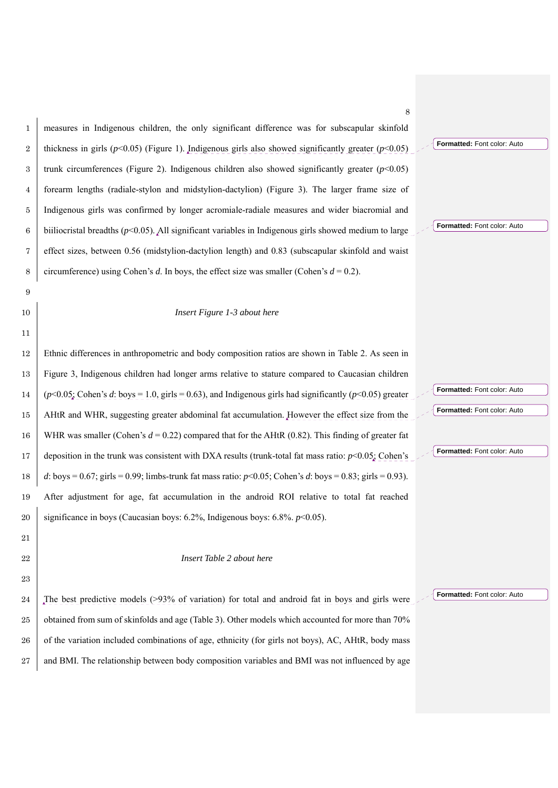|                | 8                                                                                                              |                             |
|----------------|----------------------------------------------------------------------------------------------------------------|-----------------------------|
| 1              | measures in Indigenous children, the only significant difference was for subscapular skinfold                  |                             |
| $\overline{2}$ | thickness in girls ( $p<0.05$ ) (Figure 1). Indigenous girls also showed significantly greater ( $p<0.05$ )    | Formatted: Font color: Auto |
| 3              | trunk circumferences (Figure 2). Indigenous children also showed significantly greater ( $p$ <0.05)            |                             |
| 4              | forearm lengths (radiale-stylon and midstylion-dactylion) (Figure 3). The larger frame size of                 |                             |
| 5              | Indigenous girls was confirmed by longer acromiale-radiale measures and wider biacromial and                   |                             |
| 6              | biiliocristal breadths ( $p<0.05$ ). All significant variables in Indigenous girls showed medium to large      | Formatted: Font color: Auto |
| 7              | effect sizes, between 0.56 (midstylion-dactylion length) and 0.83 (subscapular skinfold and waist              |                             |
| 8              | circumference) using Cohen's d. In boys, the effect size was smaller (Cohen's $d = 0.2$ ).                     |                             |
| 9              |                                                                                                                |                             |
| 10             | Insert Figure 1-3 about here                                                                                   |                             |
| 11             |                                                                                                                |                             |
| 12             | Ethnic differences in anthropometric and body composition ratios are shown in Table 2. As seen in              |                             |
| 13             | Figure 3, Indigenous children had longer arms relative to stature compared to Caucasian children               |                             |
| 14             | $(p<0.05)$ ; Cohen's d: boys = 1.0, girls = 0.63), and Indigenous girls had significantly ( $p<0.05$ ) greater | Formatted: Font color: Auto |
| 15             | AHtR and WHR, suggesting greater abdominal fat accumulation. However the effect size from the                  | Formatted: Font color: Auto |
| 16             | WHR was smaller (Cohen's $d = 0.22$ ) compared that for the AHtR (0.82). This finding of greater fat           |                             |
| 17             | deposition in the trunk was consistent with DXA results (trunk-total fat mass ratio: $p<0.05$ ; Cohen's        | Formatted: Font color: Auto |
| 18             | d: boys = 0.67; girls = 0.99; limbs-trunk fat mass ratio: $p<0.05$ ; Cohen's d: boys = 0.83; girls = 0.93).    |                             |
| 19             | After adjustment for age, fat accumulation in the android ROI relative to total fat reached                    |                             |
| 20             | significance in boys (Caucasian boys: $6.2\%$ , Indigenous boys: $6.8\%$ . $p<0.05$ ).                         |                             |
| 21             |                                                                                                                |                             |
| 22             | Insert Table 2 about here                                                                                      |                             |
| 23             |                                                                                                                |                             |
| 24             | The best predictive models $(>93\%$ of variation) for total and android fat in boys and girls were             | Formatted: Font color: Auto |
| 25             | obtained from sum of skinfolds and age (Table 3). Other models which accounted for more than 70%               |                             |
| 26             | of the variation included combinations of age, ethnicity (for girls not boys), AC, AHtR, body mass             |                             |
| 27             | and BMI. The relationship between body composition variables and BMI was not influenced by age                 |                             |
|                |                                                                                                                |                             |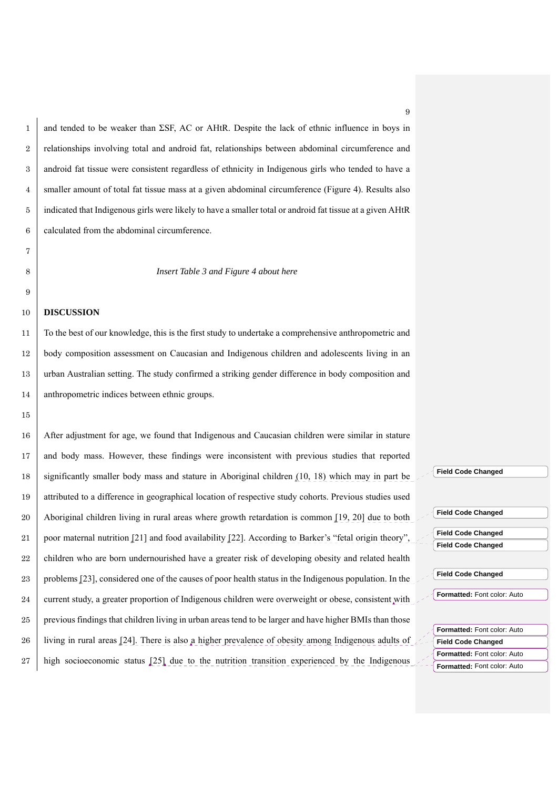1 and tended to be weaker than  $\Sigma$ SF, AC or AHtR. Despite the lack of ethnic influence in boys in 2 relationships involving total and android fat, relationships between abdominal circumference and android fat tissue were consistent regardless of ethnicity in Indigenous girls who tended to have a smaller amount of total fat tissue mass at a given abdominal circumference (Figure 4). Results also indicated that Indigenous girls were likely to have a smaller total or android fat tissue at a given AHtR calculated from the abdominal circumference.

8 *Insert Table 3 and Figure 4 about here* 

#### 10 **DISCUSSION**

7

9

15

To the best of our knowledge, this is the first study to undertake a comprehensive anthropometric and body composition assessment on Caucasian and Indigenous children and adolescents living in an urban Australian setting. The study confirmed a striking gender difference in body composition and 14 anthropometric indices between ethnic groups.

16 After adjustment for age, we found that Indigenous and Caucasian children were similar in stature 17 and body mass. However, these findings were inconsistent with previous studies that reported 18 significantly smaller body mass and stature in Aboriginal children (10, 18) which may in part be 19 attributed to a difference in geographical location of respective study cohorts. Previous studies used 20 Aboriginal children living in rural areas where growth retardation is common [19, 20] due to both 21 poor maternal nutrition [21] and food availability [22]. According to Barker's "fetal origin theory" 22 children who are born undernourished have a greater risk of developing obesity and related health 23 problems [23], considered one of the causes of poor health status in the Indigenous population. In the 24 current study, a greater proportion of Indigenous children were overweight or obese, consistent with 25 previous findings that children living in urban areas tend to be larger and have higher BMIs than those 26 living in rural areas [24]. There is also a higher prevalence of obesity among Indigenous adults of 27 high socioeconomic status [25] due to the nutrition transition experienced by the Indigenous

**Field Code Changed**

**Field Code Changed**

**Field Code Changed Field Code Changed**

**Field Code Changed**

**Formatted:** Font color: Auto

**Field Code Changed Formatted:** Font color: Auto **Formatted:** Font color: Auto **Formatted:** Font color: Auto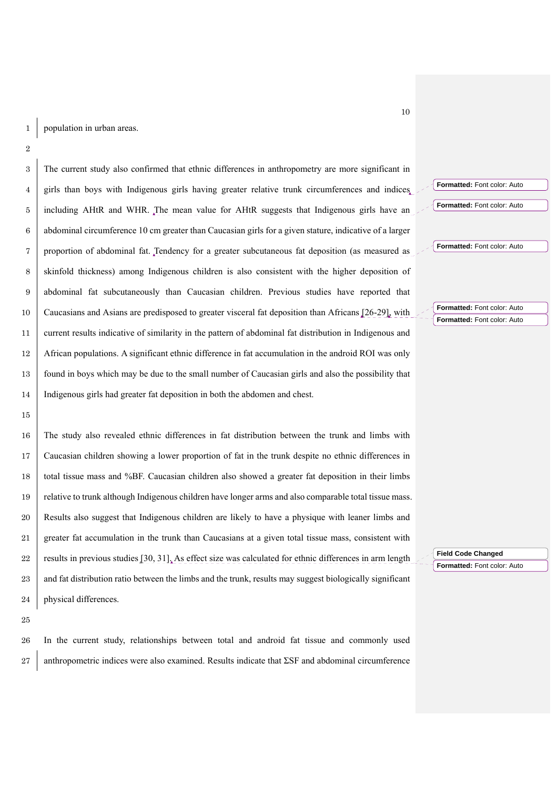The current study also confirmed that ethnic differences in anthropometry are more significant in girls than boys with Indigenous girls having greater relative trunk circumferences and indices including AHtR and WHR. The mean value for AHtR suggests that Indigenous girls have an abdominal circumference 10 cm greater than Caucasian girls for a given stature, indicative of a larger proportion of abdominal fat. Tendency for a greater subcutaneous fat deposition (as measured as skinfold thickness) among Indigenous children is also consistent with the higher deposition of abdominal fat subcutaneously than Caucasian children. Previous studies have reported that Caucasians and Asians are predisposed to greater visceral fat deposition than Africans [26-29], with current results indicative of similarity in the pattern of abdominal fat distribution in Indigenous and African populations. A significant ethnic difference in fat accumulation in the android ROI was only found in boys which may be due to the small number of Caucasian girls and also the possibility that Indigenous girls had greater fat deposition in both the abdomen and chest.

The study also revealed ethnic differences in fat distribution between the trunk and limbs with Caucasian children showing a lower proportion of fat in the trunk despite no ethnic differences in 18 total tissue mass and %BF. Caucasian children also showed a greater fat deposition in their limbs relative to trunk although Indigenous children have longer arms and also comparable total tissue mass. Results also suggest that Indigenous children are likely to have a physique with leaner limbs and greater fat accumulation in the trunk than Caucasians at a given total tissue mass, consistent with 22 results in previous studies  $\left[30, 31\right]$ . As effect size was calculated for ethnic differences in arm length 23 and fat distribution ratio between the limbs and the trunk, results may suggest biologically significant 24 physical differences.

In the current study, relationships between total and android fat tissue and commonly used anthropometric indices were also examined. Results indicate that ΣSF and abdominal circumference **Formatted:** Font color: Auto

**Formatted:** Font color: Auto

**Formatted:** Font color: Auto

**Formatted:** Font color: Auto **Formatted:** Font color: Auto

**Field Code Changed Formatted:** Font color: Auto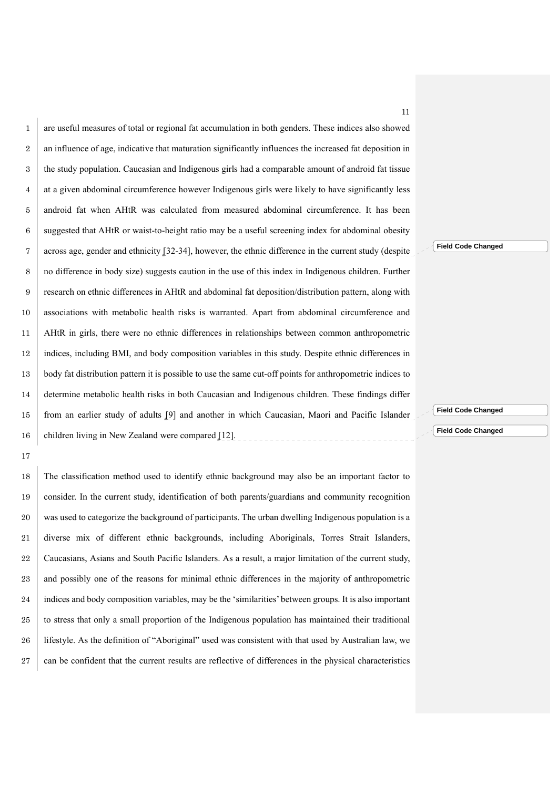are useful measures of total or regional fat accumulation in both genders. These indices also showed 2 an influence of age, indicative that maturation significantly influences the increased fat deposition in the study population. Caucasian and Indigenous girls had a comparable amount of android fat tissue at a given abdominal circumference however Indigenous girls were likely to have significantly less 5 android fat when AHtR was calculated from measured abdominal circumference. It has been 6 suggested that AHtR or waist-to-height ratio may be a useful screening index for abdominal obesity across age, gender and ethnicity [32-34], however, the ethnic difference in the current study (despite no difference in body size) suggests caution in the use of this index in Indigenous children. Further research on ethnic differences in AHtR and abdominal fat deposition/distribution pattern, along with associations with metabolic health risks is warranted. Apart from abdominal circumference and AHtR in girls, there were no ethnic differences in relationships between common anthropometric indices, including BMI, and body composition variables in this study. Despite ethnic differences in 13 body fat distribution pattern it is possible to use the same cut-off points for anthropometric indices to determine metabolic health risks in both Caucasian and Indigenous children. These findings differ from an earlier study of adults [9] and another in which Caucasian, Maori and Pacific Islander 16 children living in New Zealand were compared [12].

17

18 The classification method used to identify ethnic background may also be an important factor to 19 consider. In the current study, identification of both parents/guardians and community recognition 20 was used to categorize the background of participants. The urban dwelling Indigenous population is a 21 diverse mix of different ethnic backgrounds, including Aboriginals, Torres Strait Islanders, 22 Caucasians, Asians and South Pacific Islanders. As a result, a major limitation of the current study, 23 and possibly one of the reasons for minimal ethnic differences in the majority of anthropometric 24 indices and body composition variables, may be the 'similarities' between groups. It is also important 25 to stress that only a small proportion of the Indigenous population has maintained their traditional 26 lifestyle. As the definition of "Aboriginal" used was consistent with that used by Australian law, we 27 can be confident that the current results are reflective of differences in the physical characteristics **Field Code Changed**

11

**Field Code Changed**

**Field Code Changed**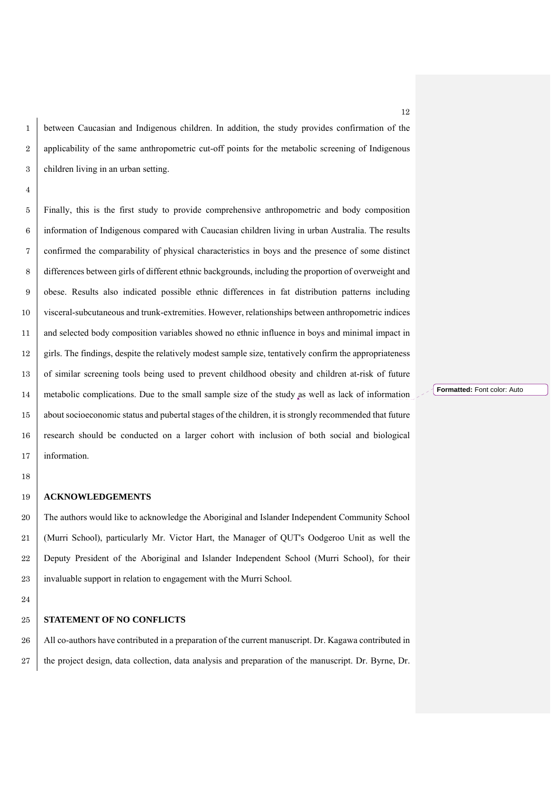between Caucasian and Indigenous children. In addition, the study provides confirmation of the 2 applicability of the same anthropometric cut-off points for the metabolic screening of Indigenous children living in an urban setting.

Finally, this is the first study to provide comprehensive anthropometric and body composition information of Indigenous compared with Caucasian children living in urban Australia. The results confirmed the comparability of physical characteristics in boys and the presence of some distinct differences between girls of different ethnic backgrounds, including the proportion of overweight and obese. Results also indicated possible ethnic differences in fat distribution patterns including visceral-subcutaneous and trunk-extremities. However, relationships between anthropometric indices 11 and selected body composition variables showed no ethnic influence in boys and minimal impact in girls. The findings, despite the relatively modest sample size, tentatively confirm the appropriateness 13 of similar screening tools being used to prevent childhood obesity and children at-risk of future metabolic complications. Due to the small sample size of the study as well as lack of information 15 about socioeconomic status and pubertal stages of the children, it is strongly recommended that future research should be conducted on a larger cohort with inclusion of both social and biological 17 information.

#### **ACKNOWLEDGEMENTS**

20 The authors would like to acknowledge the Aboriginal and Islander Independent Community School (Murri School), particularly Mr. Victor Hart, the Manager of QUT's Oodgeroo Unit as well the Deputy President of the Aboriginal and Islander Independent School (Murri School), for their 23 invaluable support in relation to engagement with the Murri School.

#### **STATEMENT OF NO CONFLICTS**

26 All co-authors have contributed in a preparation of the current manuscript. Dr. Kagawa contributed in 27 the project design, data collection, data analysis and preparation of the manuscript. Dr. Byrne, Dr. **Formatted:** Font color: Auto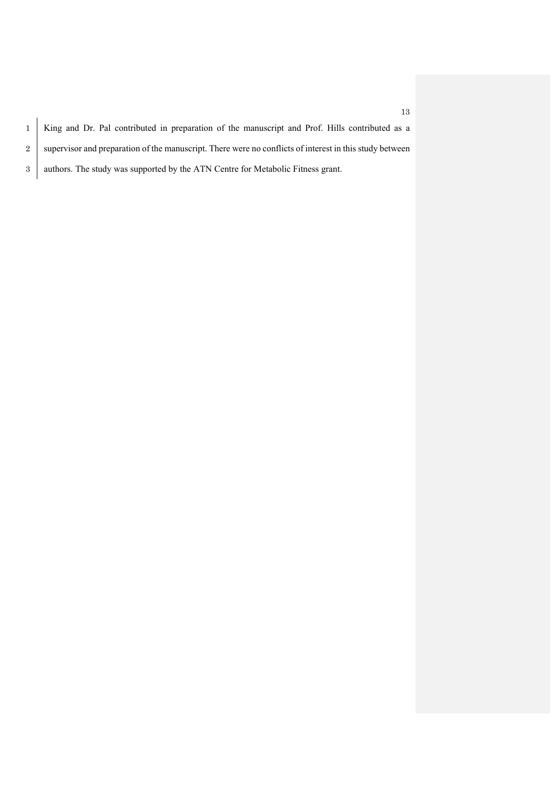1 King and Dr. Pal contributed in preparation of the manuscript and Prof. Hills contributed as a 2 supervisor and preparation of the manuscript. There were no conflicts of interest in this study between 3 authors. The study was supported by the ATN Centre for Metabolic Fitness grant.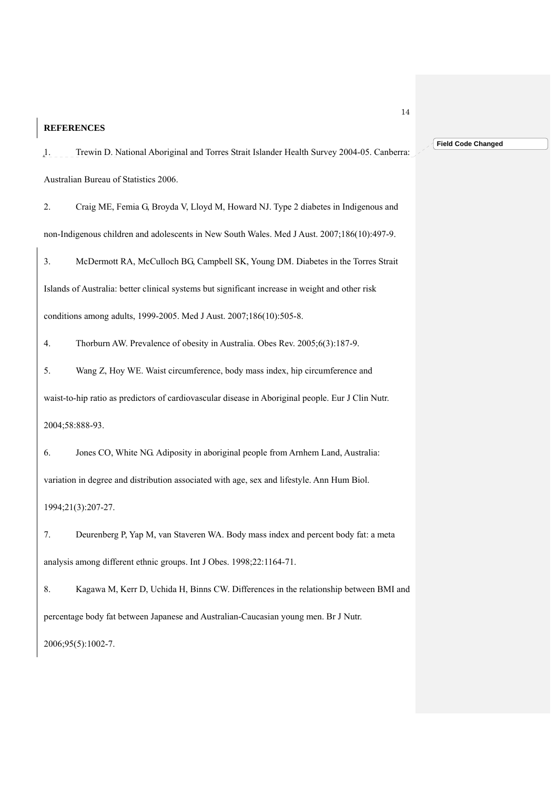## **REFERENCES**

1. Trewin D. National Aboriginal and Torres Strait Islander Health Survey 2004-05. Canberra: Australian Bureau of Statistics 2006.

2. Craig ME, Femia G, Broyda V, Lloyd M, Howard NJ. Type 2 diabetes in Indigenous and non-Indigenous children and adolescents in New South Wales. Med J Aust. 2007;186(10):497-9.

3. McDermott RA, McCulloch BG, Campbell SK, Young DM. Diabetes in the Torres Strait Islands of Australia: better clinical systems but significant increase in weight and other risk conditions among adults, 1999-2005. Med J Aust. 2007;186(10):505-8.

4. Thorburn AW. Prevalence of obesity in Australia. Obes Rev. 2005;6(3):187-9.

5. Wang Z, Hoy WE. Waist circumference, body mass index, hip circumference and waist-to-hip ratio as predictors of cardiovascular disease in Aboriginal people. Eur J Clin Nutr. 2004;58:888-93.

6. Jones CO, White NG. Adiposity in aboriginal people from Arnhem Land, Australia: variation in degree and distribution associated with age, sex and lifestyle. Ann Hum Biol. 1994;21(3):207-27.

7. Deurenberg P, Yap M, van Staveren WA. Body mass index and percent body fat: a meta analysis among different ethnic groups. Int J Obes. 1998;22:1164-71.

8. Kagawa M, Kerr D, Uchida H, Binns CW. Differences in the relationship between BMI and percentage body fat between Japanese and Australian-Caucasian young men. Br J Nutr. 2006;95(5):1002-7.

14

#### **Field Code Changed**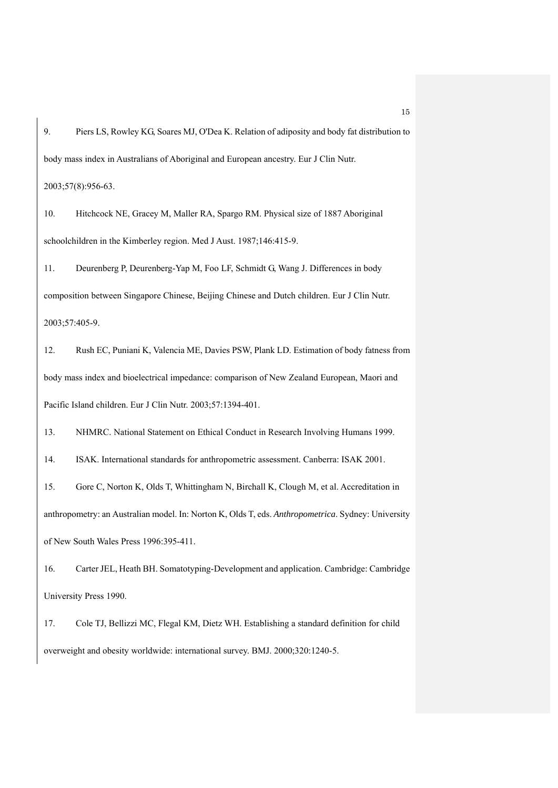9. Piers LS, Rowley KG, Soares MJ, O'Dea K. Relation of adiposity and body fat distribution to body mass index in Australians of Aboriginal and European ancestry. Eur J Clin Nutr.

2003;57(8):956-63.

10. Hitchcock NE, Gracey M, Maller RA, Spargo RM. Physical size of 1887 Aboriginal schoolchildren in the Kimberley region. Med J Aust. 1987;146:415-9.

11. Deurenberg P, Deurenberg-Yap M, Foo LF, Schmidt G, Wang J. Differences in body composition between Singapore Chinese, Beijing Chinese and Dutch children. Eur J Clin Nutr. 2003;57:405-9.

12. Rush EC, Puniani K, Valencia ME, Davies PSW, Plank LD. Estimation of body fatness from body mass index and bioelectrical impedance: comparison of New Zealand European, Maori and Pacific Island children. Eur J Clin Nutr. 2003;57:1394-401.

13. NHMRC. National Statement on Ethical Conduct in Research Involving Humans 1999.

14. ISAK. International standards for anthropometric assessment. Canberra: ISAK 2001.

15. Gore C, Norton K, Olds T, Whittingham N, Birchall K, Clough M, et al. Accreditation in anthropometry: an Australian model. In: Norton K, Olds T, eds. *Anthropometrica*. Sydney: University of New South Wales Press 1996:395-411.

16. Carter JEL, Heath BH. Somatotyping-Development and application. Cambridge: Cambridge University Press 1990.

17. Cole TJ, Bellizzi MC, Flegal KM, Dietz WH. Establishing a standard definition for child overweight and obesity worldwide: international survey. BMJ. 2000;320:1240-5.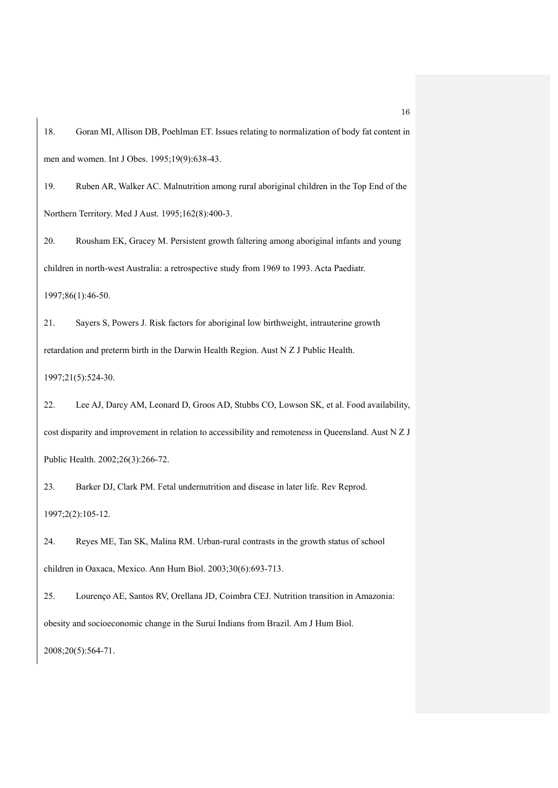18. Goran MI, Allison DB, Poehlman ET. Issues relating to normalization of body fat content in men and women. Int J Obes. 1995;19(9):638-43.

19. Ruben AR, Walker AC. Malnutrition among rural aboriginal children in the Top End of the Northern Territory. Med J Aust. 1995;162(8):400-3.

20. Rousham EK, Gracey M. Persistent growth faltering among aboriginal infants and young children in north-west Australia: a retrospective study from 1969 to 1993. Acta Paediatr. 1997;86(1):46-50.

21. Sayers S, Powers J. Risk factors for aboriginal low birthweight, intrauterine growth retardation and preterm birth in the Darwin Health Region. Aust N Z J Public Health. 1997;21(5):524-30.

22. Lee AJ, Darcy AM, Leonard D, Groos AD, Stubbs CO, Lowson SK, et al. Food availability, cost disparity and improvement in relation to accessibility and remoteness in Queensland. Aust N Z J Public Health. 2002;26(3):266-72.

23. Barker DJ, Clark PM. Fetal undernutrition and disease in later life. Rev Reprod. 1997;2(2):105-12.

24. Reyes ME, Tan SK, Malina RM. Urban-rural contrasts in the growth status of school children in Oaxaca, Mexico. Ann Hum Biol. 2003;30(6):693-713.

25. Lourenço AE, Santos RV, Orellana JD, Coimbra CEJ. Nutrition transition in Amazonia: obesity and socioeconomic change in the Suruí Indians from Brazil. Am J Hum Biol. 2008;20(5):564-71.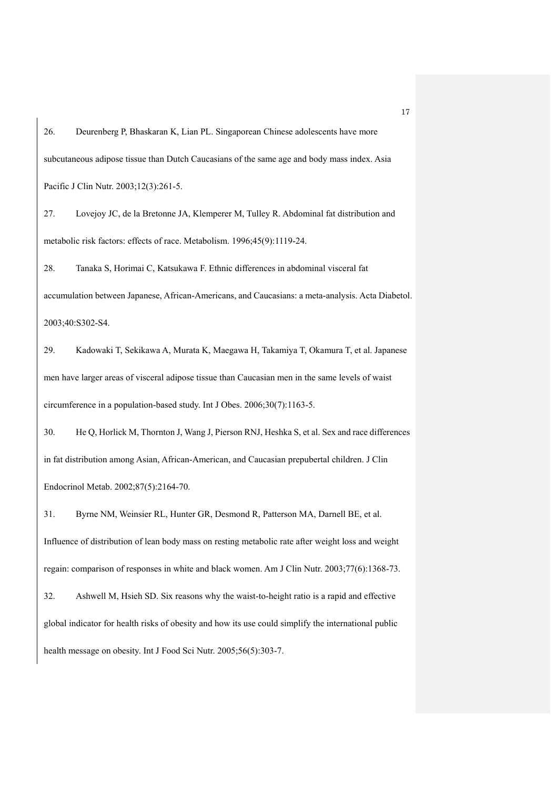26. Deurenberg P, Bhaskaran K, Lian PL. Singaporean Chinese adolescents have more subcutaneous adipose tissue than Dutch Caucasians of the same age and body mass index. Asia Pacific J Clin Nutr. 2003;12(3):261-5.

27. Lovejoy JC, de la Bretonne JA, Klemperer M, Tulley R. Abdominal fat distribution and metabolic risk factors: effects of race. Metabolism. 1996;45(9):1119-24.

28. Tanaka S, Horimai C, Katsukawa F. Ethnic differences in abdominal visceral fat accumulation between Japanese, African-Americans, and Caucasians: a meta-analysis. Acta Diabetol. 2003;40:S302-S4.

29. Kadowaki T, Sekikawa A, Murata K, Maegawa H, Takamiya T, Okamura T, et al. Japanese men have larger areas of visceral adipose tissue than Caucasian men in the same levels of waist circumference in a population-based study. Int J Obes. 2006;30(7):1163-5.

30. He Q, Horlick M, Thornton J, Wang J, Pierson RNJ, Heshka S, et al. Sex and race differences in fat distribution among Asian, African-American, and Caucasian prepubertal children. J Clin Endocrinol Metab. 2002;87(5):2164-70.

31. Byrne NM, Weinsier RL, Hunter GR, Desmond R, Patterson MA, Darnell BE, et al. Influence of distribution of lean body mass on resting metabolic rate after weight loss and weight regain: comparison of responses in white and black women. Am J Clin Nutr. 2003;77(6):1368-73. 32. Ashwell M, Hsieh SD. Six reasons why the waist-to-height ratio is a rapid and effective global indicator for health risks of obesity and how its use could simplify the international public health message on obesity. Int J Food Sci Nutr. 2005;56(5):303-7.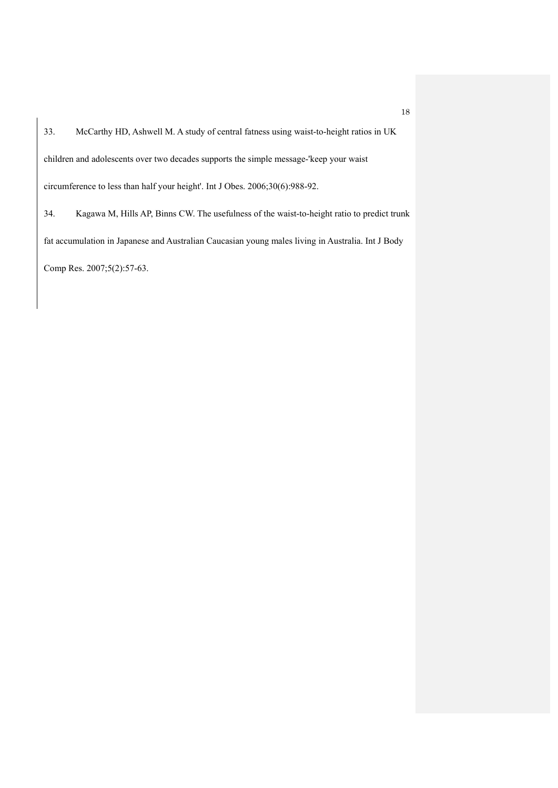33. McCarthy HD, Ashwell M. A study of central fatness using waist-to-height ratios in UK children and adolescents over two decades supports the simple message-'keep your waist circumference to less than half your height'. Int J Obes. 2006;30(6):988-92. 34. Kagawa M, Hills AP, Binns CW. The usefulness of the waist-to-height ratio to predict trunk fat accumulation in Japanese and Australian Caucasian young males living in Australia. Int J Body Comp Res. 2007;5(2):57-63.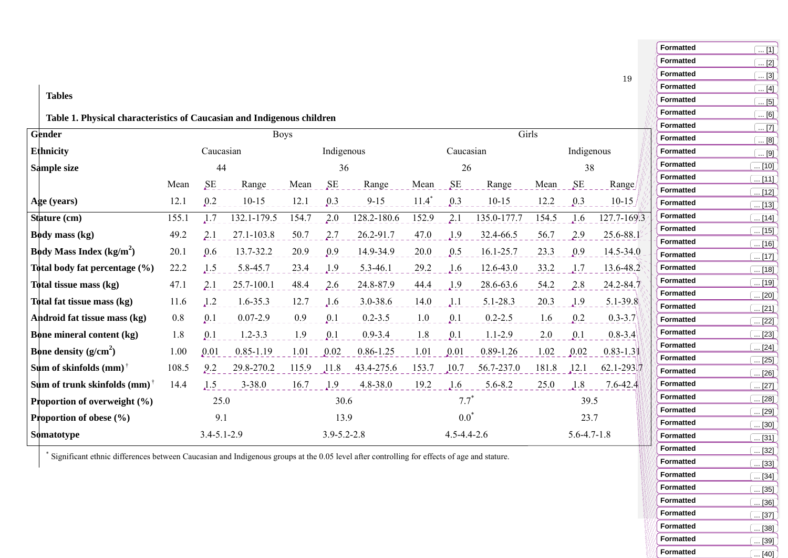## **Tables**

# **Table 1. Physical characteristics of Caucasian and Indigenous children**

| <b>Gender</b>                                               | <b>Boys</b>       |      |               |            |                   |               |                   |              | Girls         |                   |      |               |
|-------------------------------------------------------------|-------------------|------|---------------|------------|-------------------|---------------|-------------------|--------------|---------------|-------------------|------|---------------|
| <b>Ethnicity</b>                                            | Caucasian         |      |               | Indigenous |                   |               | Caucasian         |              |               | Indigenous        |      |               |
| Sample size                                                 |                   | 44   |               | 36         |                   | 26            |                   |              | 38            |                   |      |               |
|                                                             | Mean              | SE   | Range         | Mean       | SE                | Range         | Mean              | SE           | Range         | Mean              | SE   | Range         |
| Age (years)                                                 | 12.1              | 0.2  | $10-15$       | 12.1       | 0.3               | $9 - 15$      | $11.4*$           | 0.3          | $10 - 15$     | 12.2              | 0.3  | $10-15$       |
| Stature (cm)                                                | 155.1             | 1.7  | 132.1-179.5   | 154.7      | 2.0               | 128.2-180.6   | 152.9             | 2.1          | 135.0-177.7   | 154.5             | 1.6  | 127.7-169.3   |
| <b>Body mass (kg)</b>                                       | 49.2              | 2.1  | 27.1-103.8    | 50.7       | 2.7               | 26.2-91.7     | 47.0              | 1.9          | 32.4-66.5     | 56.7              | 2.9  | $25.6 - 88.1$ |
| <b>Body Mass Index (kg/m<sup>2</sup>)</b>                   | 20.1              | 0.6  | 13.7-32.2     | 20.9       | 0.9               | 14.9-34.9     | 20.0              | 0.5          | 16.1-25.7     | 23.3              | 0.9  | $14.5 - 34.0$ |
| Total body fat percentage (%)                               | 22.2              | 1.5  | 5.8-45.7      | 23.4       | 1.9               | 5.3-46.1      | 29.2              | .1.6         | 12.6-43.0     | 33.2              | 1.7  | $13.6 - 48.2$ |
| Total tissue mass (kg)                                      | 47.1              | 2.1  | 25.7-100.1    | 48.4       | 2.6               | 24.8-87.9     | 44.4              | 1.9          | 28.6-63.6     | 54.2              | 2.8  | $24.2 - 84.7$ |
| Total fat tissue mass (kg)                                  | 11.6              | 1.2  | 1.6-35.3      | 12.7       | $\sqrt{1.6}$      | 3.0-38.6      | 14.0              | $\Lambda$ .1 | 5.1-28.3      | 20.3              | 1.9  | $5.1 - 39.8$  |
| Android fat tissue mass (kg)                                | 0.8               | 0.1  | $0.07 - 2.9$  | 0.9        | 0.1               | $0.2 - 3.5$   | 1.0               | 0.1          | $0.2 - 2.5$   | 1.6               | 0.2  | $0.3 - 3.7$   |
| <b>Bone mineral content (kg)</b>                            | 1.8               | 0.1  | $1.2 - 3.3$   | 1.9        | 0.1               | $0.9 - 3.4$   | 1.8               | 0.1          | $1.1 - 2.9$   | 2.0               | 0.1  | $0.8 - 3.4$   |
| <b>Bone density</b> $(g/cm^2)$                              | 1.00              | 0.01 | $0.85 - 1.19$ | 1.01       | 0.02              | $0.86 - 1.25$ | 1.01              | 0.01         | $0.89 - 1.26$ | 1.02              | 0.02 | $0.83 - 1.3$  |
| Sum of skinfolds (mm) <sup><math>\dagger</math></sup>       | 108.5             | 9.2  | 29.8-270.2    | 115.9      | 11.8              | 43.4-275.6    | 153.7             | 10.7         | 56.7-237.0    | 181.8             | 12.1 | $62.1 - 293$  |
| Sum of trunk skinfolds (mm) <sup><math>\dagger</math></sup> | 14.4              | 1.5  | $3 - 38.0$    | 16.7       | 1.9               | 4.8-38.0      | 19.2              | .1.6         | $5.6 - 8.2$   | 25.0              | 1.8  | $7.6 - 42.4$  |
| <b>Proportion of overweight <math>(\%)</math></b>           |                   | 25.0 |               | 30.6       |                   |               | $7.7^*$           |              |               | 39.5              |      |               |
| <b>Proportion of obese</b> $(\% )$                          |                   | 9.1  |               | 13.9       |                   | $0.0^*$       |                   |              | 23.7          |                   |      |               |
| Somatotype                                                  | $3.4 - 5.1 - 2.9$ |      |               |            | $3.9 - 5.2 - 2.8$ |               | $4.5 - 4.4 - 2.6$ |              |               | $5.6 - 4.7 - 1.8$ |      |               |

\* Significant ethnic differences between Caucasian and Indigenous groups at the 0.05 level after controlling for effects of age and stature.

**Formatted** $\overline{11}$ **Formatted** $\overline{[2]}$ **Formatted** $\overline{... 131}$ **Formatted** $\overline{... [4]}$ **Formatted** $\overline{... 5}$ **Formatted** $. 6]$ **Formatted** $\overline{5}$ . [7] **Formatted**.  $[8]$ **Formatted** $\overline{...}$  [9] **Formatted** $\overline{... [10]}$ **Formatted** $\overline{...}$  [11] **Formatted** $\boxed{... [12]}$ **Formatted** $\boxed{... [13]}$ **Formatted** $\overline{... [14]}$ **Formatted** $\sqrt{15}$ **Formatted** $\boxed{... [16]}$ **Formatted** $\boxed{... [17]}$ **Formatted** $\overline{18]}$ **Formatted** $\sqrt{19}$ **Formatted** $\overline{... [20]}$ **Formatted** $\overline{... [21]}$ **Formatted** $\overline{.}$  [22] **Formatted** ... [23] **Formatted** $\overline{[24]}$ **Formatted** $\boxed{... [25]}$ **Formatted** $.126$ ] **Formatted** $\left[ \dots [27] \right]$ **Formatted** $\overline{... [28]}$ **Formatted** $\left( ...\, [29] \right)$ **Formatted** $\boxed{... [30]}$ **Formatted** $\boxed{... [31]}$ **Formatted** $\sqrt{32}$ **Formatted** $\sqrt{1331}$ **Formatted** $\overline{.54]}$ **Formatted** $\sqrt{... [35]}$ **Formatted** $\sqrt{136}$ **Formatted** $\sqrt{.137}$ **Formatted** $\left[ \dots [38] \right]$ **Formatted** $\boxed{... [39]}$ **Formatted**  $\sqrt{.}$  [40]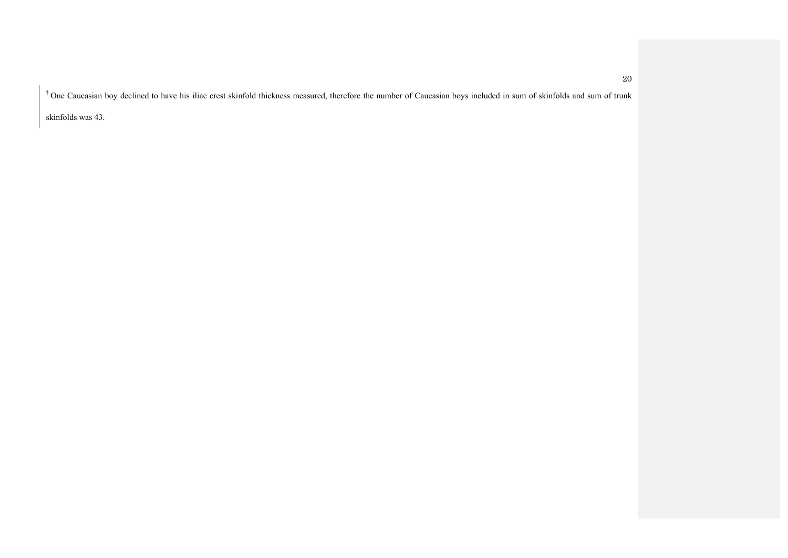† One Caucasian boy declined to have his iliac crest skinfold thickness measured, therefore the number of Caucasian boys included in sum of skinfolds and sum of trunk

skinfolds was 43.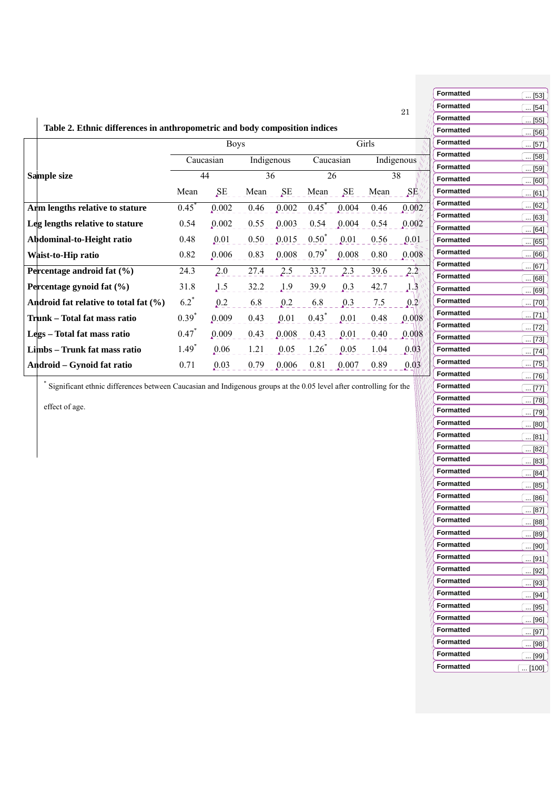|                                                                            |            |             |            |       |            |       |       |                                         |                  | <u>.</u>                 |
|----------------------------------------------------------------------------|------------|-------------|------------|-------|------------|-------|-------|-----------------------------------------|------------------|--------------------------|
|                                                                            |            |             |            |       |            |       |       | 21                                      | <b>Formatted</b> | $\ddot{\phantom{a}}$     |
|                                                                            |            |             |            |       |            |       |       |                                         | <b>Formatted</b> | $\ddot{\phantom{a}}$     |
| Table 2. Ethnic differences in anthropometric and body composition indices |            |             |            |       |            |       |       |                                         | <b>Formatted</b> | $\ddot{\phantom{a}}$     |
|                                                                            |            | <b>Boys</b> |            |       |            |       | Girls |                                         | <b>Formatted</b> | $\overline{\phantom{a}}$ |
|                                                                            |            | Caucasian   | Indigenous |       | Caucasian  |       |       | Indigenous                              | <b>Formatted</b> | $\ddot{\phantom{a}}$     |
|                                                                            |            |             |            |       |            |       |       |                                         | <b>Formatted</b> | $\ddot{\phantom{a}}$     |
| Sample size                                                                |            | 44          | 36         |       | 26         |       |       | 38                                      | <b>Formatted</b> | $\ddot{\phantom{a}}$     |
|                                                                            | Mean       | SE          | Mean       | SE    | Mean       | SE    | Mean  | $\text{SE}_{\mathbb{W}}^{\prime\prime}$ | <b>Formatted</b> | $\overline{\phantom{a}}$ |
| Arm lengths relative to stature                                            | $0.45^*$   | 0.002       | 0.46       | 0.002 | $0.45^*$   | 0.004 | 0.46  | 0.002'                                  | <b>Formatted</b> | $\ddot{\phantom{a}}$     |
| Leg lengths relative to stature                                            | 0.54       | 0.002       | 0.55       | 0.003 | 0.54       | 0.004 | 0.54  | 0.002                                   | <b>Formatted</b> | $\ddot{\phantom{a}}$     |
|                                                                            |            |             |            |       |            |       |       |                                         | <b>Formatted</b> | $\overline{\phantom{a}}$ |
| Abdominal-to-Height ratio                                                  | 0.48       | 0.01        | 0.50       | 0.015 | $0.50^*$   | 0.01  | 0.56  | 0.01                                    | <b>Formatted</b> | $\ddot{\phantom{a}}$     |
| Waist-to-Hip ratio                                                         | 0.82       | 0.006       | 0.83       | 0.008 | $0.79^{*}$ | 0.008 | 0.80  | 0.008                                   | <b>Formatted</b> | $\ddot{\phantom{a}}$     |
| Percentage android fat (%)                                                 | 24.3       | 2.0         | 27.4       | 2.5   | 33.7       | 2.3   | 39.6  | 2.2                                     | <b>Formatted</b> | $\ddot{\phantom{a}}$     |
| Percentage gynoid fat (%)                                                  | 31.8       | 1.5         | 32.2       | 1.9   | 39.9       | 0.3   | 42.7  | 1.3                                     | <b>Formatted</b> |                          |
|                                                                            |            |             |            |       |            |       |       |                                         | <b>Formatted</b> | $\overline{\phantom{a}}$ |
| Android fat relative to total fat (%)                                      | $6.2^*$    | 0.2         | 6.8        | 0.2   | 6.8        | 0.3   | 7.5   | 0.2                                     | <b>Formatted</b> | $\ddot{\phantom{a}}$     |
| Trunk - Total fat mass ratio                                               | $0.39^{*}$ | 0.009       | 0.43       | 0.01  | $0.43*$    | 0.01  | 0.48  | 0.008                                   | <b>Formatted</b> | $\overline{\phantom{a}}$ |
| Legs - Total fat mass ratio                                                | $0.47$ *   | 0.009       | 0.43       | 0.008 | 0.43       | 0.01  | 0.40  | 0.008                                   | <b>Formatted</b> | $\ddot{\phantom{a}}$     |
|                                                                            |            |             |            |       |            |       |       |                                         | <b>Formatted</b> | $\ddot{\phantom{a}}$     |
| Limbs – Trunk fat mass ratio                                               | $1.49*$    | 0.06        | 1.21       | 0.05  | $1.26*$    | 0.05  | 1.04  | 0.03                                    | <b>Formatted</b> | $\ddot{\phantom{a}}$     |
| Android – Gynoid fat ratio                                                 | 0.71       | 0.03        | 0.79       | 0.006 | 0.81       | 0.007 | 0.89  | [0.03]                                  | Formatted        | $\ddot{\phantom{a}}$     |
|                                                                            |            |             |            |       |            |       |       |                                         | <b>Formatted</b> | $\ddot{\phantom{a}}$     |

\* Significant ethnic differences between Caucasian and Indigenous groups at the 0.05 level after controlling for the

effect of age.

| Formatted        | [53]<br>                                     |
|------------------|----------------------------------------------|
| Formatted        | $[54]$<br>                                   |
| Formatted        | $[55]$<br>                                   |
| Formatted        | $[56]$                                       |
| Formatted        | $[57]$                                       |
| Formatted        | [58]                                         |
| Formatted        | [59]                                         |
| Formatted        | [60]                                         |
| <b>Formatted</b> | [61]                                         |
| Formatted        | $\ldots$ [62]                                |
| Formatted        | [63]                                         |
| Formatted        | [64]<br>                                     |
| Formatted        | [65]<br>                                     |
| Formatted        | [66]                                         |
| Formatted        | [67]                                         |
| <b>Formatted</b> | [68]                                         |
| Formatted        | [69]                                         |
| <b>Formatted</b> | [70]                                         |
| Formatted        | [71]                                         |
| <b>Formatted</b> | $[72]$                                       |
| Formatted        | $[73]$<br>                                   |
| Formatted        | $[74]$                                       |
| <b>Formatted</b> | $[75]$<br>$\overline{\phantom{a}}$           |
| Formatted        | [76]<br>                                     |
| <b>Formatted</b> | [77]                                         |
| Formatted        | [78]                                         |
| Formatted        | [79]                                         |
| <b>Formatted</b> | [80]<br>                                     |
| Formatted        | [81]<br>$\overline{\phantom{a}}$<br>$\cdots$ |
| <b>Formatted</b> | [82]                                         |
| Formatted        | [83]                                         |
| Formatted        | [84]<br>                                     |
| Formatted        | [85]                                         |
| Formatted        | $$ [86]                                      |
| Formatted        | $\lceil \dots  87 \rceil$                    |
| <b>Formatted</b> | $$ [88]                                      |
| <b>Formatted</b> | [89]<br>$\cdots$                             |
| Formatted        | [90]<br>$\mathcal{L}_{\text{max}}$           |
| Formatted        | [91]                                         |
| Formatted        | l … [92]                                     |
| <b>Formatted</b> | [93]                                         |
| <b>Formatted</b> | $[94]$                                       |
| <b>Formatted</b> | $[95]$                                       |
| <b>Formatted</b> | [96]<br>                                     |
| Formatted        | [97]<br>u.                                   |
| <b>Formatted</b> | [98]                                         |
| Formatted        | [99]                                         |
| Formatted        | 1001<br>$\ldots$ [                           |
|                  |                                              |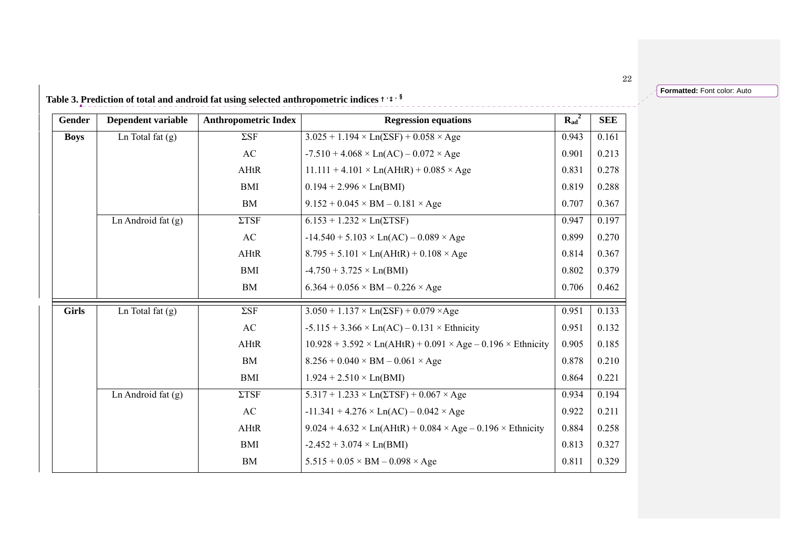**Formatted:** Font color: Auto

|  | Table 3. Prediction of total and android fat using selected anthropometric indices † $:$ $^{\text{+}}$ $^{\text{+}}$ |  |  |
|--|----------------------------------------------------------------------------------------------------------------------|--|--|
|--|----------------------------------------------------------------------------------------------------------------------|--|--|

| Gender       | Dependent variable   | <b>Anthropometric Index</b> | <b>Regression equations</b>                                                  | $R_{ad}^2$ | <b>SEE</b> |
|--------------|----------------------|-----------------------------|------------------------------------------------------------------------------|------------|------------|
| <b>Boys</b>  | Ln Total fat $(g)$   | $\Sigma$ SF                 | $3.025 + 1.194 \times Ln(\Sigma SF) + 0.058 \times Age$                      | 0.943      | 0.161      |
|              |                      | AC                          | $-7.510 + 4.068 \times Ln(AC) - 0.072 \times Age$                            | 0.901      | 0.213      |
|              |                      | AHtR                        | $11.111 + 4.101 \times Ln(AHtR) + 0.085 \times Age$                          | 0.831      | 0.278      |
|              |                      | <b>BMI</b>                  | $0.194 + 2.996 \times Ln(BMI)$                                               | 0.819      | 0.288      |
|              |                      | <b>BM</b>                   | $9.152 + 0.045 \times BM - 0.181 \times Age$                                 | 0.707      | 0.367      |
|              | Ln Android fat $(g)$ | $\Sigma T S F$              | $6.153 + 1.232 \times Ln(\Sigma TSF)$                                        | 0.947      | 0.197      |
|              |                      | AC                          | $-14.540 + 5.103 \times Ln(AC) - 0.089 \times Age$                           |            | 0.270      |
|              |                      | AHtR                        | $8.795 + 5.101 \times Ln(AHtR) + 0.108 \times Age$                           |            | 0.367      |
|              |                      | <b>BMI</b>                  | $-4.750 + 3.725 \times Ln(BMI)$                                              | 0.802      | 0.379      |
|              |                      | <b>BM</b>                   | $6.364 + 0.056 \times BM - 0.226 \times Age$                                 | 0.706      | 0.462      |
| <b>Girls</b> | Ln Total fat $(g)$   | $\Sigma$ SF                 | $3.050 + 1.137 \times Ln(\Sigma SF) + 0.079 \times Age$                      | 0.951      | 0.133      |
|              |                      | AC                          | $-5.115 + 3.366 \times Ln(AC) - 0.131 \times Ethnicity$                      | 0.951      | 0.132      |
|              |                      | AHtR                        | $10.928 + 3.592 \times Ln(AHtR) + 0.091 \times Age - 0.196 \times Ethnicity$ | 0.905      | 0.185      |
|              |                      | BM                          | $8.256 + 0.040 \times BM - 0.061 \times Age$                                 | 0.878      | 0.210      |
|              |                      | <b>BMI</b>                  | $1.924 + 2.510 \times Ln(BMI)$                                               | 0.864      | 0.221      |
|              | Ln Android fat $(g)$ | $\Sigma T S F$              | $5.317 + 1.233 \times Ln(\Sigma TSF) + 0.067 \times Age$                     | 0.934      | 0.194      |
|              |                      | AC                          | $-11.341 + 4.276 \times Ln(AC) - 0.042 \times Age$                           | 0.922      | 0.211      |
|              |                      | AHtR                        | $9.024 + 4.632 \times Ln(AHtR) + 0.084 \times Age - 0.196 \times Ethnicity$  | 0.884      | 0.258      |
|              |                      | <b>BMI</b>                  | $-2.452 + 3.074 \times Ln(BMI)$                                              | 0.813      | 0.327      |
|              |                      | BM                          | $5.515 + 0.05 \times BM - 0.098 \times Age$                                  | 0.811      | 0.329      |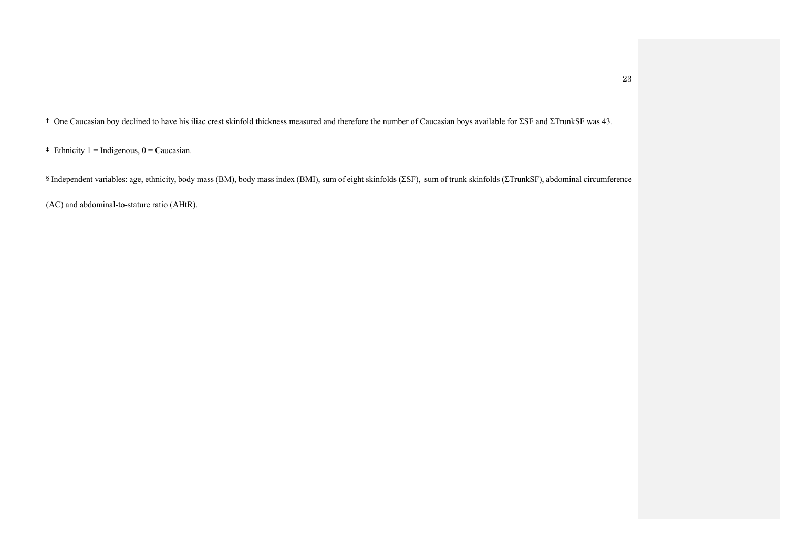† One Caucasian boy declined to have his iliac crest skinfold thickness measured and therefore the number of Caucasian boys available for ΣSF and ΣTrunkSF was 43.

 $\ddagger$  Ethnicity 1 = Indigenous, 0 = Caucasian.

§ Independent variables: age, ethnicity, body mass (BM), body mass index (BMI), sum of eight skinfolds (ΣSF), sum of trunk skinfolds (ΣTrunkSF), abdominal circumference

(AC) and abdominal-to-stature ratio (AHtR).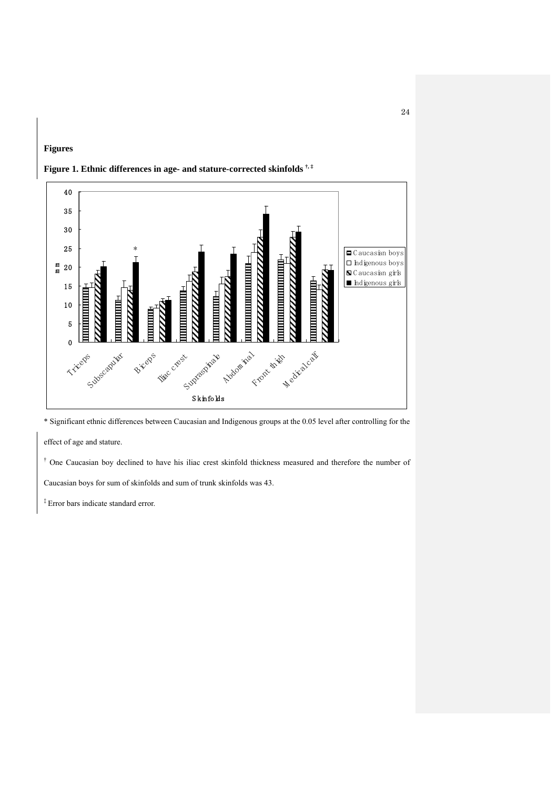



## **Figure 1. Ethnic differences in age- and stature-corrected skinfolds †, ‡**

\* Significant ethnic differences between Caucasian and Indigenous groups at the 0.05 level after controlling for the

effect of age and stature.

<sup>†</sup> One Caucasian boy declined to have his iliac crest skinfold thickness measured and therefore the number of

Caucasian boys for sum of skinfolds and sum of trunk skinfolds was 43.

‡ Error bars indicate standard error.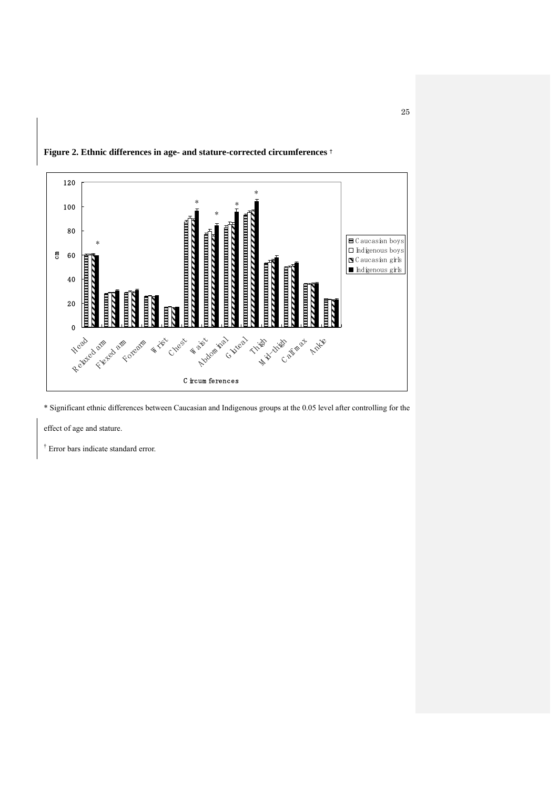

**Figure 2. Ethnic differences in age- and stature-corrected circumferences** †

\* Significant ethnic differences between Caucasian and Indigenous groups at the 0.05 level after controlling for the

effect of age and stature.

† Error bars indicate standard error.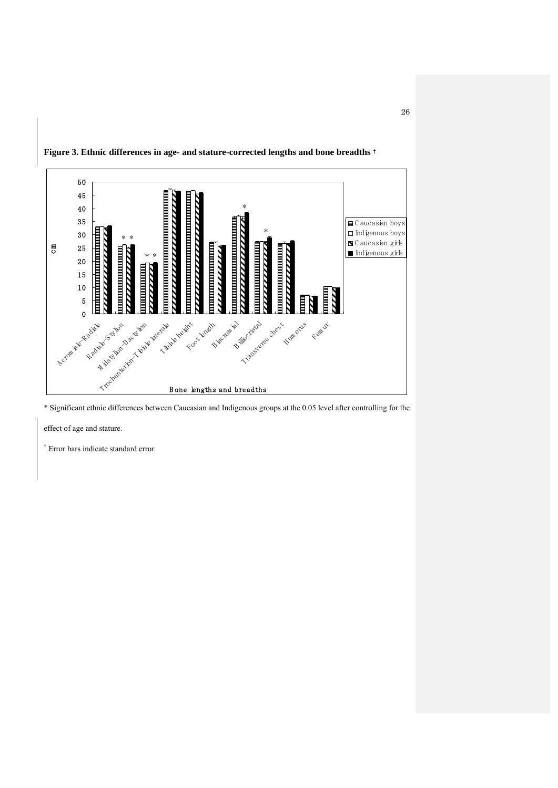

**Figure 3. Ethnic differences in age- and stature-corrected lengths and bone breadths** †

\* Significant ethnic differences between Caucasian and Indigenous groups at the 0.05 level after controlling for the

effect of age and stature.

† Error bars indicate standard error.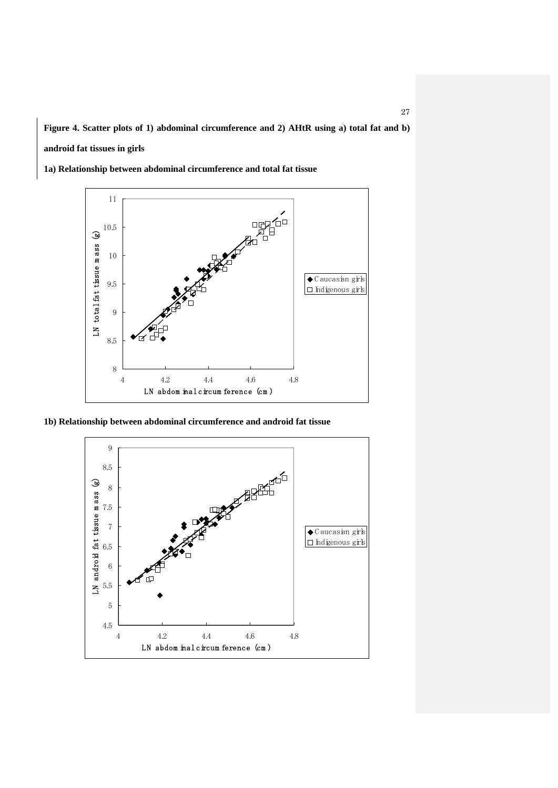**Figure 4. Scatter plots of 1) abdominal circumference and 2) AHtR using a) total fat and b) android fat tissues in girls** 

**1a) Relationship between abdominal circumference and total fat tissue** 



**1b) Relationship between abdominal circumference and android fat tissue** 

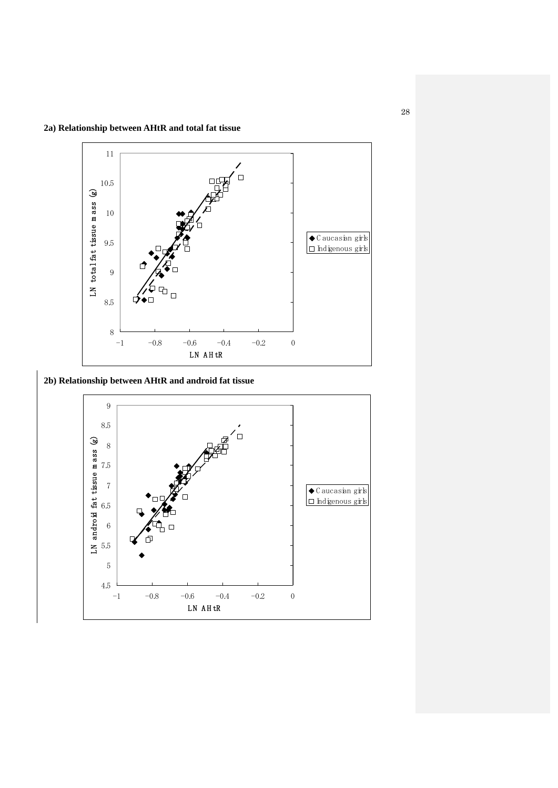

**2b) Relationship between AHtR and android fat tissue** 

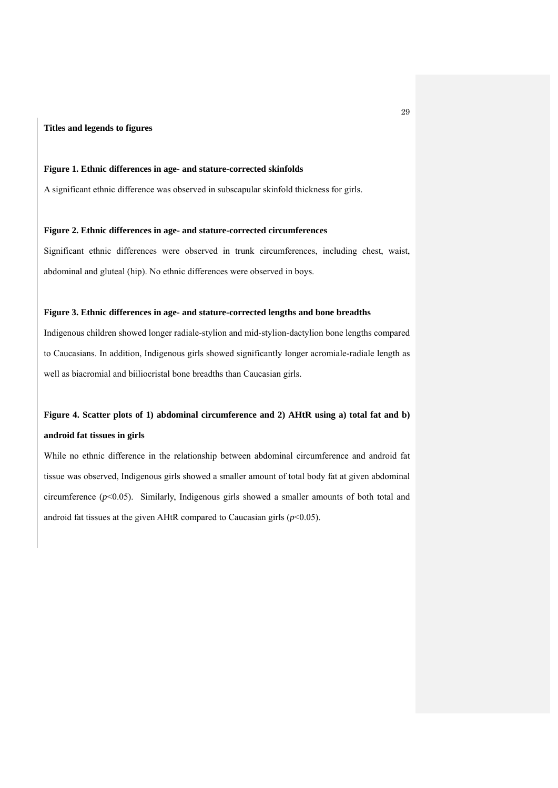## **Titles and legends to figures**

## **Figure 1. Ethnic differences in age- and stature-corrected skinfolds**

A significant ethnic difference was observed in subscapular skinfold thickness for girls.

#### **Figure 2. Ethnic differences in age- and stature-corrected circumferences**

Significant ethnic differences were observed in trunk circumferences, including chest, waist, abdominal and gluteal (hip). No ethnic differences were observed in boys.

## **Figure 3. Ethnic differences in age- and stature-corrected lengths and bone breadths**

Indigenous children showed longer radiale-stylion and mid-stylion-dactylion bone lengths compared to Caucasians. In addition, Indigenous girls showed significantly longer acromiale-radiale length as well as biacromial and biiliocristal bone breadths than Caucasian girls.

# **Figure 4. Scatter plots of 1) abdominal circumference and 2) AHtR using a) total fat and b) android fat tissues in girls**

While no ethnic difference in the relationship between abdominal circumference and android fat tissue was observed, Indigenous girls showed a smaller amount of total body fat at given abdominal circumference  $(p<0.05)$ . Similarly, Indigenous girls showed a smaller amounts of both total and android fat tissues at the given AHtR compared to Caucasian girls  $(p<0.05)$ .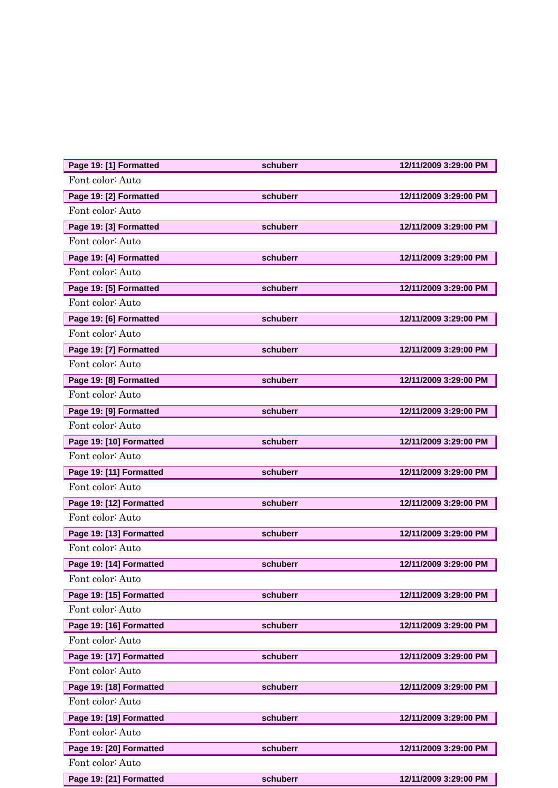| Page 19: [1] Formatted  | schuberr | 12/11/2009 3:29:00 PM |
|-------------------------|----------|-----------------------|
| Font color: Auto        |          |                       |
| Page 19: [2] Formatted  | schuberr | 12/11/2009 3:29:00 PM |
| Font color: Auto        |          |                       |
| Page 19: [3] Formatted  | schuberr | 12/11/2009 3:29:00 PM |
| Font color: Auto        |          |                       |
| Page 19: [4] Formatted  | schuberr | 12/11/2009 3:29:00 PM |
| Font color: Auto        |          |                       |
| Page 19: [5] Formatted  | schuberr | 12/11/2009 3:29:00 PM |
| Font color: Auto        |          |                       |
| Page 19: [6] Formatted  | schuberr | 12/11/2009 3:29:00 PM |
| Font color: Auto        |          |                       |
| Page 19: [7] Formatted  | schuberr | 12/11/2009 3:29:00 PM |
| Font color: Auto        |          |                       |
| Page 19: [8] Formatted  | schuberr | 12/11/2009 3:29:00 PM |
| Font color: Auto        |          |                       |
| Page 19: [9] Formatted  | schuberr | 12/11/2009 3:29:00 PM |
| Font color: Auto        |          |                       |
| Page 19: [10] Formatted | schuberr | 12/11/2009 3:29:00 PM |
| Font color: Auto        |          |                       |
| Page 19: [11] Formatted | schuberr | 12/11/2009 3:29:00 PM |
| Font color: Auto        |          |                       |
| Page 19: [12] Formatted | schuberr | 12/11/2009 3:29:00 PM |
| Font color: Auto        |          |                       |
| Page 19: [13] Formatted | schuberr | 12/11/2009 3:29:00 PM |
| Font color: Auto        |          |                       |
| Page 19: [14] Formatted | schuberr | 12/11/2009 3:29:00 PM |
| Font color: Auto        |          |                       |
| Page 19: [15] Formatted | schuberr | 12/11/2009 3:29:00 PM |
| Font color: Auto        |          |                       |
| Page 19: [16] Formatted | schuberr | 12/11/2009 3:29:00 PM |
| Font color: Auto        |          |                       |
| Page 19: [17] Formatted | schuberr | 12/11/2009 3:29:00 PM |
| Font color: Auto        |          |                       |
| Page 19: [18] Formatted | schuberr | 12/11/2009 3:29:00 PM |
| Font color: Auto        |          |                       |
| Page 19: [19] Formatted | schuberr | 12/11/2009 3:29:00 PM |
| Font color: Auto        |          |                       |
| Page 19: [20] Formatted | schuberr | 12/11/2009 3:29:00 PM |
| Font color: Auto        |          |                       |
| Page 19: [21] Formatted | schuberr | 12/11/2009 3:29:00 PM |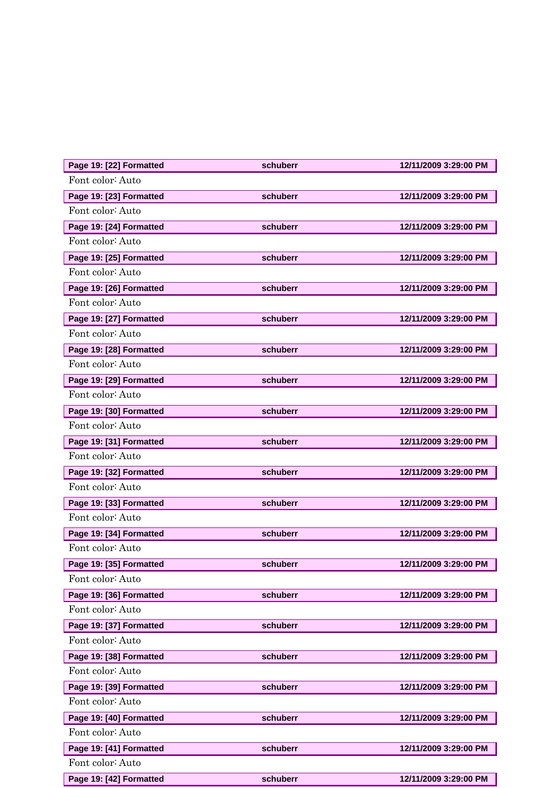| Page 19: [22] Formatted | schuberr | 12/11/2009 3:29:00 PM |
|-------------------------|----------|-----------------------|
| Font color: Auto        |          |                       |
| Page 19: [23] Formatted | schuberr | 12/11/2009 3:29:00 PM |
| Font color: Auto        |          |                       |
| Page 19: [24] Formatted | schuberr | 12/11/2009 3:29:00 PM |
| Font color: Auto        |          |                       |
| Page 19: [25] Formatted | schuberr | 12/11/2009 3:29:00 PM |
| Font color: Auto        |          |                       |
| Page 19: [26] Formatted | schuberr | 12/11/2009 3:29:00 PM |
| Font color: Auto        |          |                       |
| Page 19: [27] Formatted | schuberr | 12/11/2009 3:29:00 PM |
| Font color: Auto        |          |                       |
| Page 19: [28] Formatted | schuberr | 12/11/2009 3:29:00 PM |
| Font color: Auto        |          |                       |
| Page 19: [29] Formatted | schuberr | 12/11/2009 3:29:00 PM |
| Font color: Auto        |          |                       |
| Page 19: [30] Formatted | schuberr | 12/11/2009 3:29:00 PM |
| Font color: Auto        |          |                       |
| Page 19: [31] Formatted | schuberr | 12/11/2009 3:29:00 PM |
| Font color: Auto        |          |                       |
| Page 19: [32] Formatted | schuberr | 12/11/2009 3:29:00 PM |
| Font color: Auto        |          |                       |
| Page 19: [33] Formatted | schuberr | 12/11/2009 3:29:00 PM |
| Font color: Auto        |          |                       |
| Page 19: [34] Formatted | schuberr | 12/11/2009 3:29:00 PM |
| Font color: Auto        |          |                       |
| Page 19: [35] Formatted | schuberr | 12/11/2009 3:29:00 PM |
| Font color: Auto        |          |                       |
| Page 19: [36] Formatted | schuberr | 12/11/2009 3:29:00 PM |
| Font color: Auto        |          |                       |
| Page 19: [37] Formatted | schuberr | 12/11/2009 3:29:00 PM |
| Font color: Auto        |          |                       |
| Page 19: [38] Formatted | schuberr | 12/11/2009 3:29:00 PM |
| Font color: Auto        |          |                       |
| Page 19: [39] Formatted | schuberr | 12/11/2009 3:29:00 PM |
| Font color: Auto        |          |                       |
| Page 19: [40] Formatted | schuberr | 12/11/2009 3:29:00 PM |
| Font color: Auto        |          |                       |
| Page 19: [41] Formatted | schuberr | 12/11/2009 3:29:00 PM |
| Font color: Auto        |          |                       |
| Page 19: [42] Formatted | schuberr | 12/11/2009 3:29:00 PM |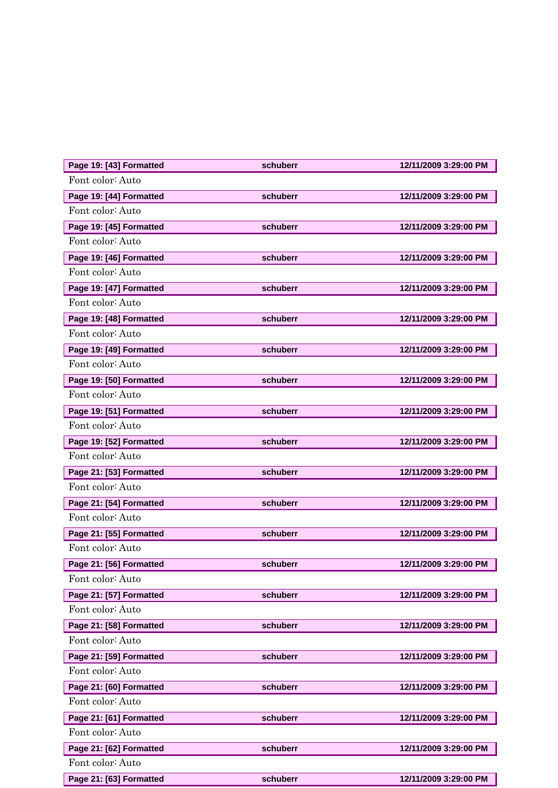| Page 19: [43] Formatted | schuberr | 12/11/2009 3:29:00 PM |
|-------------------------|----------|-----------------------|
| Font color: Auto        |          |                       |
| Page 19: [44] Formatted | schuberr | 12/11/2009 3:29:00 PM |
| Font color: Auto        |          |                       |
| Page 19: [45] Formatted | schuberr | 12/11/2009 3:29:00 PM |
| Font color: Auto        |          |                       |
| Page 19: [46] Formatted | schuberr | 12/11/2009 3:29:00 PM |
| Font color: Auto        |          |                       |
| Page 19: [47] Formatted | schuberr | 12/11/2009 3:29:00 PM |
| Font color: Auto        |          |                       |
| Page 19: [48] Formatted | schuberr | 12/11/2009 3:29:00 PM |
| Font color: Auto        |          |                       |
| Page 19: [49] Formatted | schuberr | 12/11/2009 3:29:00 PM |
| Font color: Auto        |          |                       |
| Page 19: [50] Formatted | schuberr | 12/11/2009 3:29:00 PM |
| Font color: Auto        |          |                       |
| Page 19: [51] Formatted | schuberr | 12/11/2009 3:29:00 PM |
| Font color: Auto        |          |                       |
| Page 19: [52] Formatted | schuberr | 12/11/2009 3:29:00 PM |
| Font color: Auto        |          |                       |
| Page 21: [53] Formatted | schuberr | 12/11/2009 3:29:00 PM |
| Font color: Auto        |          |                       |
| Page 21: [54] Formatted | schuberr | 12/11/2009 3:29:00 PM |
| Font color: Auto        |          |                       |
| Page 21: [55] Formatted | schuberr | 12/11/2009 3:29:00 PM |
| Font color: Auto        |          |                       |
| Page 21: [56] Formatted | schuberr | 12/11/2009 3:29:00 PM |
| Font color: Auto        |          |                       |
| Page 21: [57] Formatted | schuberr | 12/11/2009 3:29:00 PM |
| Font color: Auto        |          |                       |
| Page 21: [58] Formatted | schuberr | 12/11/2009 3:29:00 PM |
| Font color: Auto        |          |                       |
| Page 21: [59] Formatted | schuberr | 12/11/2009 3:29:00 PM |
| Font color: Auto        |          |                       |
| Page 21: [60] Formatted | schuberr | 12/11/2009 3:29:00 PM |
| Font color: Auto        |          |                       |
| Page 21: [61] Formatted | schuberr | 12/11/2009 3:29:00 PM |
| Font color: Auto        |          |                       |
| Page 21: [62] Formatted | schuberr | 12/11/2009 3:29:00 PM |
| Font color: Auto        |          |                       |
| Page 21: [63] Formatted | schuberr | 12/11/2009 3:29:00 PM |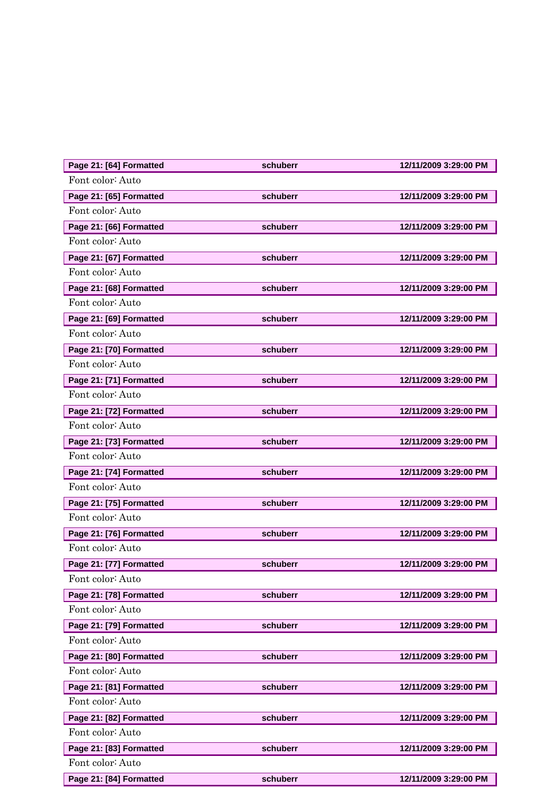| Page 21: [64] Formatted | schuberr | 12/11/2009 3:29:00 PM |
|-------------------------|----------|-----------------------|
| Font color: Auto        |          |                       |
| Page 21: [65] Formatted | schuberr | 12/11/2009 3:29:00 PM |
| Font color: Auto        |          |                       |
| Page 21: [66] Formatted | schuberr | 12/11/2009 3:29:00 PM |
| Font color: Auto        |          |                       |
| Page 21: [67] Formatted | schuberr | 12/11/2009 3:29:00 PM |
| Font color: Auto        |          |                       |
| Page 21: [68] Formatted | schuberr | 12/11/2009 3:29:00 PM |
| Font color: Auto        |          |                       |
| Page 21: [69] Formatted | schuberr | 12/11/2009 3:29:00 PM |
| Font color: Auto        |          |                       |
| Page 21: [70] Formatted | schuberr | 12/11/2009 3:29:00 PM |
| Font color: Auto        |          |                       |
| Page 21: [71] Formatted | schuberr | 12/11/2009 3:29:00 PM |
| Font color: Auto        |          |                       |
| Page 21: [72] Formatted | schuberr | 12/11/2009 3:29:00 PM |
| Font color: Auto        |          |                       |
| Page 21: [73] Formatted | schuberr | 12/11/2009 3:29:00 PM |
| Font color: Auto        |          |                       |
| Page 21: [74] Formatted | schuberr | 12/11/2009 3:29:00 PM |
| Font color: Auto        |          |                       |
| Page 21: [75] Formatted | schuberr | 12/11/2009 3:29:00 PM |
| Font color: Auto        |          |                       |
| Page 21: [76] Formatted | schuberr | 12/11/2009 3:29:00 PM |
| Font color: Auto        |          |                       |
| Page 21: [77] Formatted | schuberr | 12/11/2009 3:29:00 PM |
| Font color: Auto        |          |                       |
| Page 21: [78] Formatted | schuberr | 12/11/2009 3:29:00 PM |
| Font color: Auto        |          |                       |
| Page 21: [79] Formatted | schuberr | 12/11/2009 3:29:00 PM |
| Font color: Auto        |          |                       |
| Page 21: [80] Formatted | schuberr | 12/11/2009 3:29:00 PM |
| Font color: Auto        |          |                       |
| Page 21: [81] Formatted | schuberr | 12/11/2009 3:29:00 PM |
| Font color: Auto        |          |                       |
| Page 21: [82] Formatted | schuberr | 12/11/2009 3:29:00 PM |
| Font color: Auto        |          |                       |
| Page 21: [83] Formatted | schuberr | 12/11/2009 3:29:00 PM |
| Font color: Auto        |          |                       |
| Page 21: [84] Formatted | schuberr | 12/11/2009 3:29:00 PM |